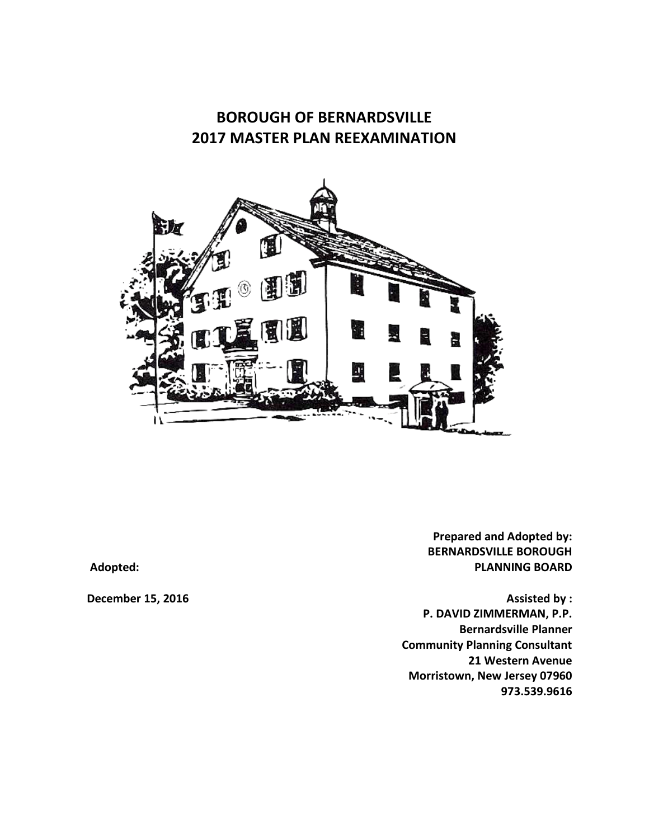# **BOROUGH OF BERNARDSVILLE 2017 MASTER PLAN REEXAMINATION**



**Prepared and Adopted by: BERNARDSVILLE BOROUGH Adopted: PLANNING BOARD**

**December 15, 2016 Assisted by : P. DAVID ZIMMERMAN, P.P. Bernardsville Planner Community Planning Consultant 21 Western Avenue Morristown, New Jersey 07960 973.539.9616**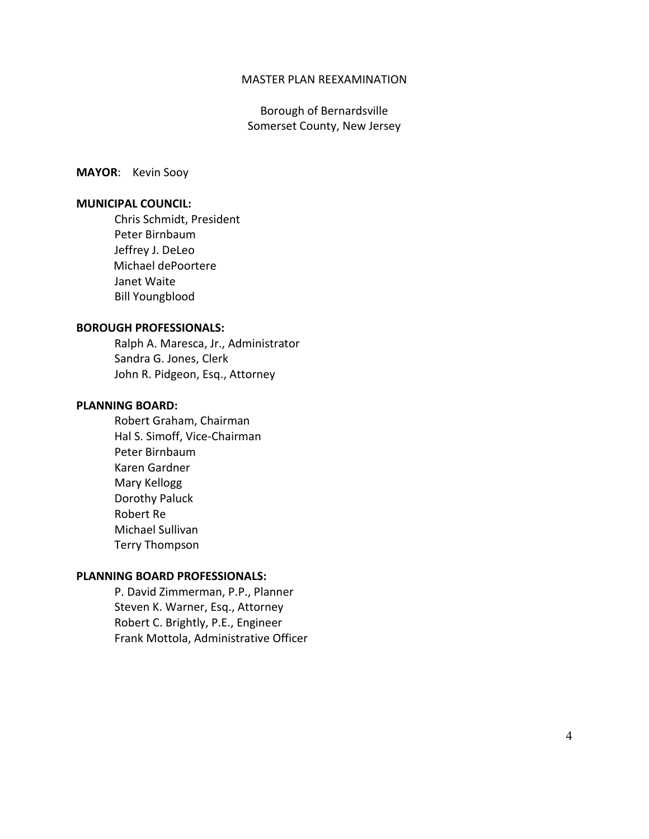#### MASTER PLAN REEXAMINATION

Borough of Bernardsville Somerset County, New Jersey

**MAYOR**: Kevin Sooy

#### **MUNICIPAL COUNCIL:**

Chris Schmidt, President Peter Birnbaum Jeffrey J. DeLeo Michael dePoortere Janet Waite Bill Youngblood

#### **BOROUGH PROFESSIONALS:**

Ralph A. Maresca, Jr., Administrator Sandra G. Jones, Clerk John R. Pidgeon, Esq., Attorney

#### **PLANNING BOARD:**

Robert Graham, Chairman Hal S. Simoff, Vice-Chairman Peter Birnbaum Karen Gardner Mary Kellogg Dorothy Paluck Robert Re Michael Sullivan Terry Thompson

#### **PLANNING BOARD PROFESSIONALS:**

P. David Zimmerman, P.P., Planner Steven K. Warner, Esq., Attorney Robert C. Brightly, P.E., Engineer Frank Mottola, Administrative Officer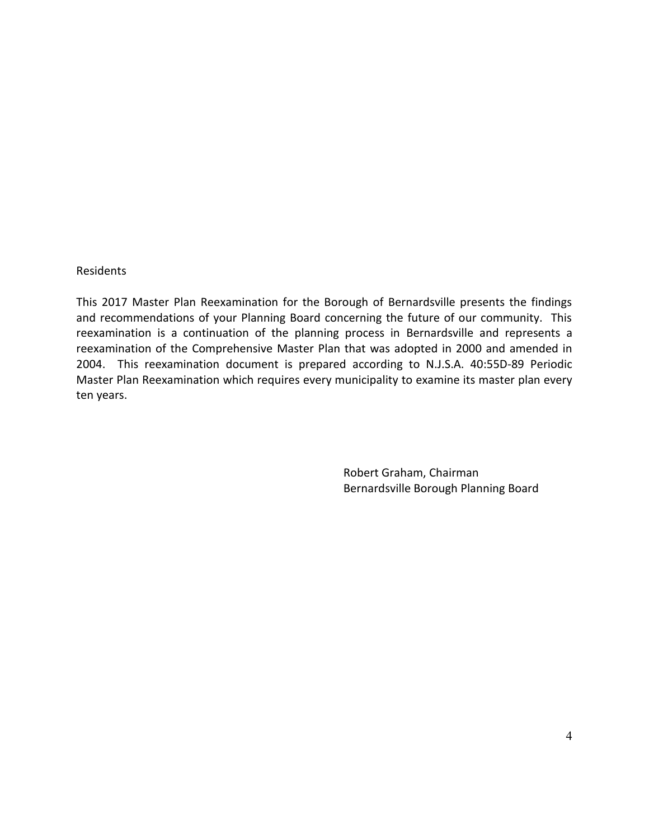#### Residents

This 2017 Master Plan Reexamination for the Borough of Bernardsville presents the findings and recommendations of your Planning Board concerning the future of our community. This reexamination is a continuation of the planning process in Bernardsville and represents a reexamination of the Comprehensive Master Plan that was adopted in 2000 and amended in 2004. This reexamination document is prepared according to N.J.S.A. 40:55D-89 Periodic Master Plan Reexamination which requires every municipality to examine its master plan every ten years.

> Robert Graham, Chairman Bernardsville Borough Planning Board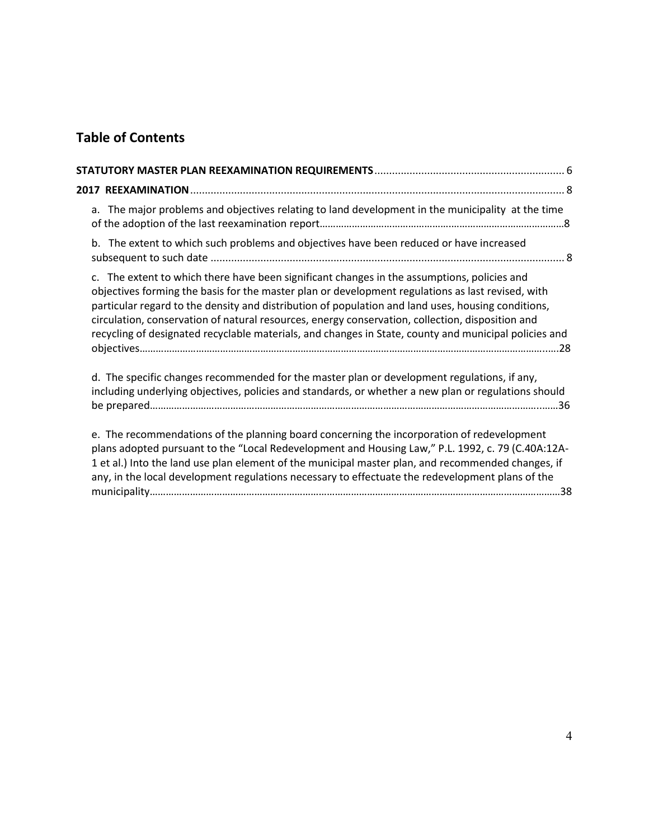# **Table of Contents**

|  | a. The major problems and objectives relating to land development in the municipality at the time                                                                                                                                                                                                                                                                                                                                                                                                                   |  |  |  |  |  |  |
|--|---------------------------------------------------------------------------------------------------------------------------------------------------------------------------------------------------------------------------------------------------------------------------------------------------------------------------------------------------------------------------------------------------------------------------------------------------------------------------------------------------------------------|--|--|--|--|--|--|
|  | b. The extent to which such problems and objectives have been reduced or have increased                                                                                                                                                                                                                                                                                                                                                                                                                             |  |  |  |  |  |  |
|  | c. The extent to which there have been significant changes in the assumptions, policies and<br>objectives forming the basis for the master plan or development regulations as last revised, with<br>particular regard to the density and distribution of population and land uses, housing conditions,<br>circulation, conservation of natural resources, energy conservation, collection, disposition and<br>recycling of designated recyclable materials, and changes in State, county and municipal policies and |  |  |  |  |  |  |
|  | d. The specific changes recommended for the master plan or development regulations, if any,<br>including underlying objectives, policies and standards, or whether a new plan or regulations should                                                                                                                                                                                                                                                                                                                 |  |  |  |  |  |  |
|  | e. The recommendations of the planning board concerning the incorporation of redevelopment<br>plans adopted pursuant to the "Local Redevelopment and Housing Law," P.L. 1992, c. 79 (C.40A:12A-<br>1 et al.) Into the land use plan element of the municipal master plan, and recommended changes, if<br>any, in the local development regulations necessary to effectuate the redevelopment plans of the                                                                                                           |  |  |  |  |  |  |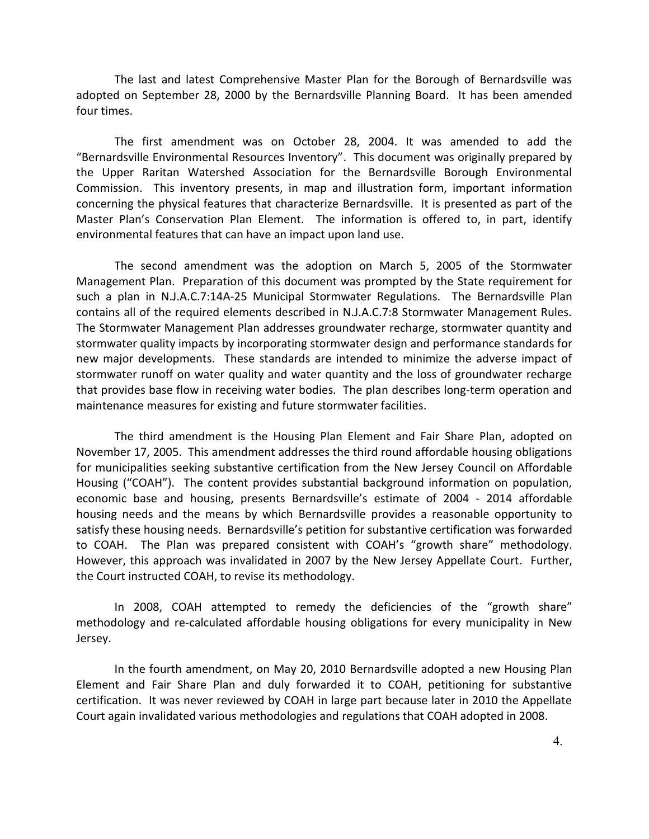The last and latest Comprehensive Master Plan for the Borough of Bernardsville was adopted on September 28, 2000 by the Bernardsville Planning Board. It has been amended four times.

The first amendment was on October 28, 2004. It was amended to add the "Bernardsville Environmental Resources Inventory". This document was originally prepared by the Upper Raritan Watershed Association for the Bernardsville Borough Environmental Commission. This inventory presents, in map and illustration form, important information concerning the physical features that characterize Bernardsville. It is presented as part of the Master Plan's Conservation Plan Element. The information is offered to, in part, identify environmental features that can have an impact upon land use.

The second amendment was the adoption on March 5, 2005 of the Stormwater Management Plan. Preparation of this document was prompted by the State requirement for such a plan in N.J.A.C.7:14A-25 Municipal Stormwater Regulations. The Bernardsville Plan contains all of the required elements described in N.J.A.C.7:8 Stormwater Management Rules. The Stormwater Management Plan addresses groundwater recharge, stormwater quantity and stormwater quality impacts by incorporating stormwater design and performance standards for new major developments. These standards are intended to minimize the adverse impact of stormwater runoff on water quality and water quantity and the loss of groundwater recharge that provides base flow in receiving water bodies. The plan describes long-term operation and maintenance measures for existing and future stormwater facilities.

The third amendment is the Housing Plan Element and Fair Share Plan, adopted on November 17, 2005. This amendment addresses the third round affordable housing obligations for municipalities seeking substantive certification from the New Jersey Council on Affordable Housing ("COAH"). The content provides substantial background information on population, economic base and housing, presents Bernardsville's estimate of 2004 - 2014 affordable housing needs and the means by which Bernardsville provides a reasonable opportunity to satisfy these housing needs. Bernardsville's petition for substantive certification was forwarded to COAH. The Plan was prepared consistent with COAH's "growth share" methodology. However, this approach was invalidated in 2007 by the New Jersey Appellate Court. Further, the Court instructed COAH, to revise its methodology.

In 2008, COAH attempted to remedy the deficiencies of the "growth share" methodology and re-calculated affordable housing obligations for every municipality in New Jersey.

In the fourth amendment, on May 20, 2010 Bernardsville adopted a new Housing Plan Element and Fair Share Plan and duly forwarded it to COAH, petitioning for substantive certification. It was never reviewed by COAH in large part because later in 2010 the Appellate Court again invalidated various methodologies and regulations that COAH adopted in 2008.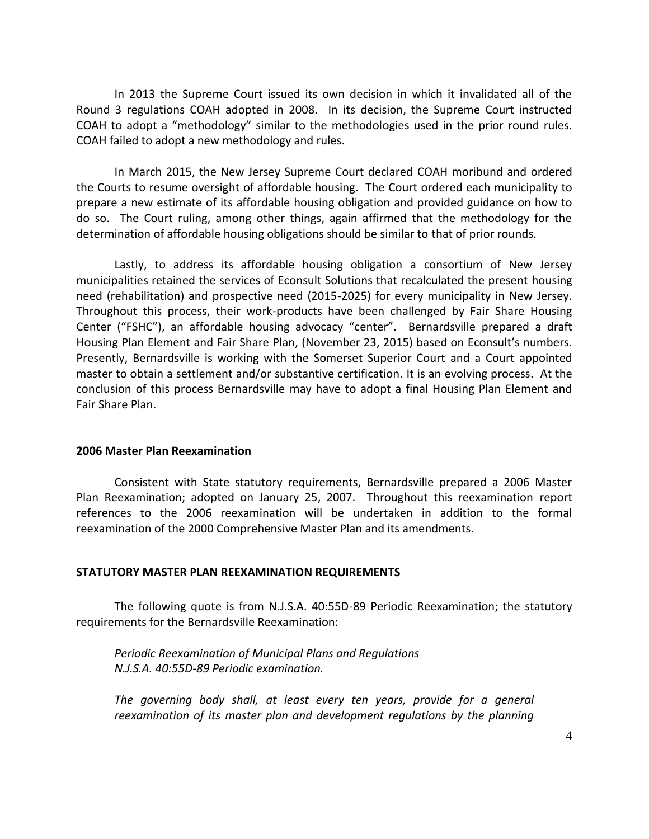In 2013 the Supreme Court issued its own decision in which it invalidated all of the Round 3 regulations COAH adopted in 2008. In its decision, the Supreme Court instructed COAH to adopt a "methodology" similar to the methodologies used in the prior round rules. COAH failed to adopt a new methodology and rules.

In March 2015, the New Jersey Supreme Court declared COAH moribund and ordered the Courts to resume oversight of affordable housing. The Court ordered each municipality to prepare a new estimate of its affordable housing obligation and provided guidance on how to do so. The Court ruling, among other things, again affirmed that the methodology for the determination of affordable housing obligations should be similar to that of prior rounds.

Lastly, to address its affordable housing obligation a consortium of New Jersey municipalities retained the services of Econsult Solutions that recalculated the present housing need (rehabilitation) and prospective need (2015-2025) for every municipality in New Jersey. Throughout this process, their work-products have been challenged by Fair Share Housing Center ("FSHC"), an affordable housing advocacy "center". Bernardsville prepared a draft Housing Plan Element and Fair Share Plan, (November 23, 2015) based on Econsult's numbers. Presently, Bernardsville is working with the Somerset Superior Court and a Court appointed master to obtain a settlement and/or substantive certification. It is an evolving process. At the conclusion of this process Bernardsville may have to adopt a final Housing Plan Element and Fair Share Plan.

#### **2006 Master Plan Reexamination**

Consistent with State statutory requirements, Bernardsville prepared a 2006 Master Plan Reexamination; adopted on January 25, 2007. Throughout this reexamination report references to the 2006 reexamination will be undertaken in addition to the formal reexamination of the 2000 Comprehensive Master Plan and its amendments.

#### **STATUTORY MASTER PLAN REEXAMINATION REQUIREMENTS**

The following quote is from N.J.S.A. 40:55D-89 Periodic Reexamination; the statutory requirements for the Bernardsville Reexamination:

*Periodic Reexamination of Municipal Plans and Regulations N.J.S.A. 40:55D-89 Periodic examination.*

*The governing body shall, at least every ten years, provide for a general reexamination of its master plan and development regulations by the planning*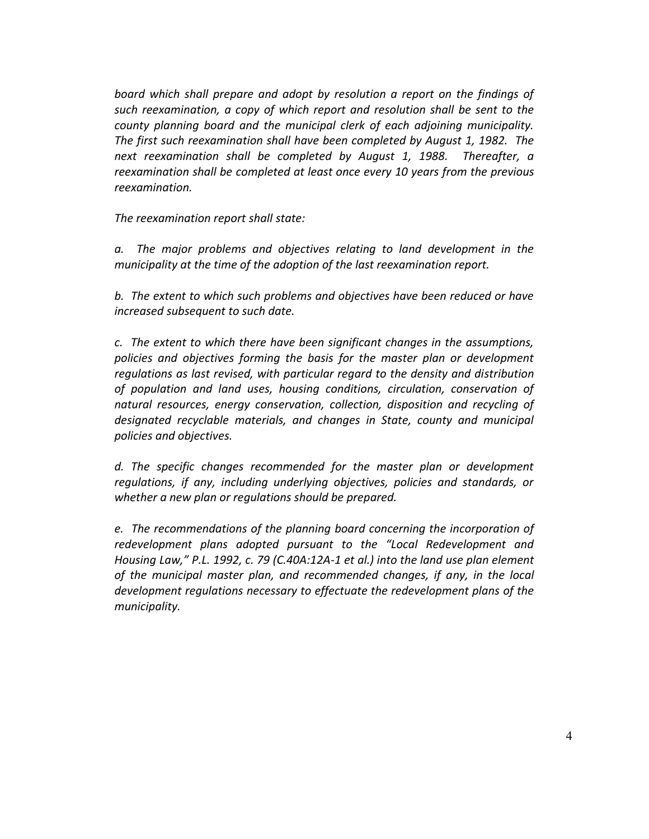*board which shall prepare and adopt by resolution a report on the findings of such reexamination, a copy of which report and resolution shall be sent to the county planning board and the municipal clerk of each adjoining municipality. The first such reexamination shall have been completed by August 1, 1982. The next reexamination shall be completed by August 1, 1988. Thereafter, a reexamination shall be completed at least once every 10 years from the previous reexamination.*

*The reexamination report shall state:*

*a. The major problems and objectives relating to land development in the municipality at the time of the adoption of the last reexamination report.*

*b. The extent to which such problems and objectives have been reduced or have increased subsequent to such date.*

*c. The extent to which there have been significant changes in the assumptions, policies and objectives forming the basis for the master plan or development regulations as last revised, with particular regard to the density and distribution of population and land uses, housing conditions, circulation, conservation of natural resources, energy conservation, collection, disposition and recycling of designated recyclable materials, and changes in State, county and municipal policies and objectives.*

*d. The specific changes recommended for the master plan or development regulations, if any, including underlying objectives, policies and standards, or whether a new plan or regulations should be prepared.*

*e. The recommendations of the planning board concerning the incorporation of redevelopment plans adopted pursuant to the "Local Redevelopment and Housing Law," P.L. 1992, c. 79 (C.40A:12A-1 et al.) into the land use plan element of the municipal master plan, and recommended changes, if any, in the local development regulations necessary to effectuate the redevelopment plans of the municipality.*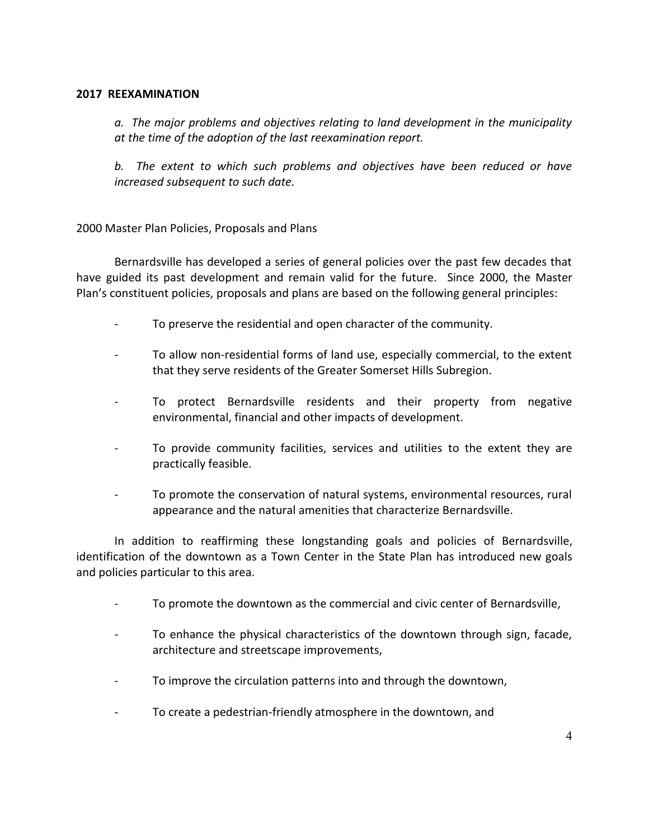#### **2017 REEXAMINATION**

*a. The major problems and objectives relating to land development in the municipality at the time of the adoption of the last reexamination report.*

*b. The extent to which such problems and objectives have been reduced or have increased subsequent to such date.*

## 2000 Master Plan Policies, Proposals and Plans

Bernardsville has developed a series of general policies over the past few decades that have guided its past development and remain valid for the future. Since 2000, the Master Plan's constituent policies, proposals and plans are based on the following general principles:

- To preserve the residential and open character of the community.
- To allow non-residential forms of land use, especially commercial, to the extent that they serve residents of the Greater Somerset Hills Subregion.
- To protect Bernardsville residents and their property from negative environmental, financial and other impacts of development.
- To provide community facilities, services and utilities to the extent they are practically feasible.
- To promote the conservation of natural systems, environmental resources, rural appearance and the natural amenities that characterize Bernardsville.

In addition to reaffirming these longstanding goals and policies of Bernardsville, identification of the downtown as a Town Center in the State Plan has introduced new goals and policies particular to this area.

- To promote the downtown as the commercial and civic center of Bernardsville,
- To enhance the physical characteristics of the downtown through sign, facade, architecture and streetscape improvements,
- To improve the circulation patterns into and through the downtown,
- To create a pedestrian-friendly atmosphere in the downtown, and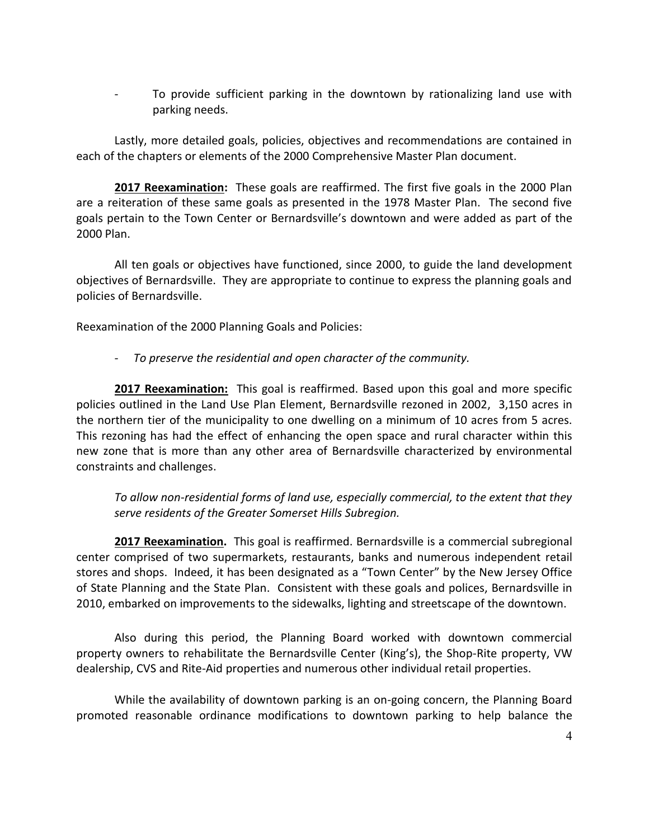To provide sufficient parking in the downtown by rationalizing land use with parking needs.

Lastly, more detailed goals, policies, objectives and recommendations are contained in each of the chapters or elements of the 2000 Comprehensive Master Plan document.

**2017 Reexamination:** These goals are reaffirmed. The first five goals in the 2000 Plan are a reiteration of these same goals as presented in the 1978 Master Plan. The second five goals pertain to the Town Center or Bernardsville's downtown and were added as part of the 2000 Plan.

All ten goals or objectives have functioned, since 2000, to guide the land development objectives of Bernardsville. They are appropriate to continue to express the planning goals and policies of Bernardsville.

Reexamination of the 2000 Planning Goals and Policies:

*- To preserve the residential and open character of the community.*

**2017 Reexamination:** This goal is reaffirmed. Based upon this goal and more specific policies outlined in the Land Use Plan Element, Bernardsville rezoned in 2002, 3,150 acres in the northern tier of the municipality to one dwelling on a minimum of 10 acres from 5 acres. This rezoning has had the effect of enhancing the open space and rural character within this new zone that is more than any other area of Bernardsville characterized by environmental constraints and challenges.

*To allow non-residential forms of land use, especially commercial, to the extent that they serve residents of the Greater Somerset Hills Subregion.*

**2017 Reexamination.** This goal is reaffirmed. Bernardsville is a commercial subregional center comprised of two supermarkets, restaurants, banks and numerous independent retail stores and shops. Indeed, it has been designated as a "Town Center" by the New Jersey Office of State Planning and the State Plan. Consistent with these goals and polices, Bernardsville in 2010, embarked on improvements to the sidewalks, lighting and streetscape of the downtown.

Also during this period, the Planning Board worked with downtown commercial property owners to rehabilitate the Bernardsville Center (King's), the Shop-Rite property, VW dealership, CVS and Rite-Aid properties and numerous other individual retail properties.

While the availability of downtown parking is an on-going concern, the Planning Board promoted reasonable ordinance modifications to downtown parking to help balance the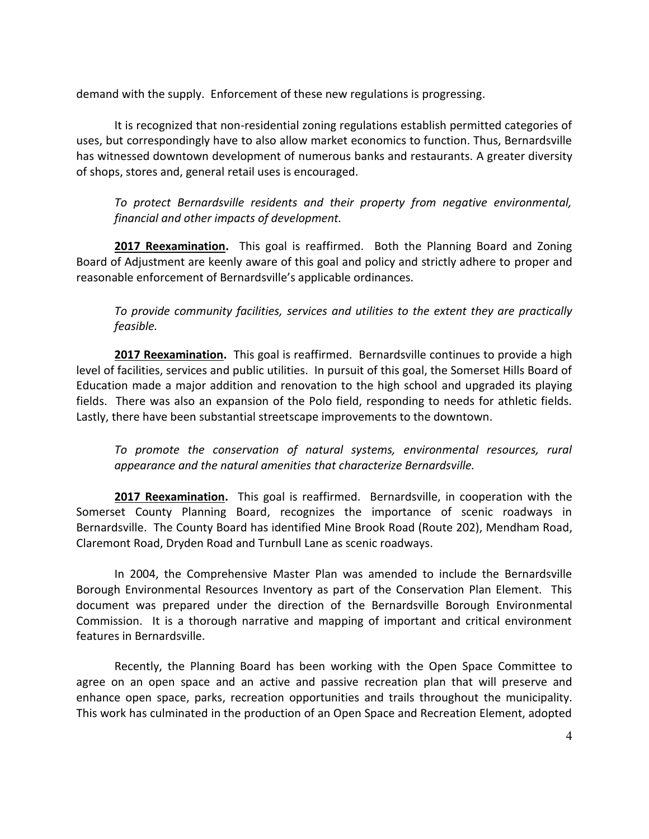demand with the supply. Enforcement of these new regulations is progressing.

It is recognized that non-residential zoning regulations establish permitted categories of uses, but correspondingly have to also allow market economics to function. Thus, Bernardsville has witnessed downtown development of numerous banks and restaurants. A greater diversity of shops, stores and, general retail uses is encouraged.

*To protect Bernardsville residents and their property from negative environmental, financial and other impacts of development.*

**2017 Reexamination.** This goal is reaffirmed.Both the Planning Board and Zoning Board of Adjustment are keenly aware of this goal and policy and strictly adhere to proper and reasonable enforcement of Bernardsville's applicable ordinances.

*To provide community facilities, services and utilities to the extent they are practically feasible.*

**2017 Reexamination.** This goal is reaffirmed.Bernardsville continues to provide a high level of facilities, services and public utilities. In pursuit of this goal, the Somerset Hills Board of Education made a major addition and renovation to the high school and upgraded its playing fields. There was also an expansion of the Polo field, responding to needs for athletic fields. Lastly, there have been substantial streetscape improvements to the downtown.

*To promote the conservation of natural systems, environmental resources, rural appearance and the natural amenities that characterize Bernardsville.* 

**2017 Reexamination.** This goal is reaffirmed. Bernardsville, in cooperation with the Somerset County Planning Board, recognizes the importance of scenic roadways in Bernardsville. The County Board has identified Mine Brook Road (Route 202), Mendham Road, Claremont Road, Dryden Road and Turnbull Lane as scenic roadways.

In 2004, the Comprehensive Master Plan was amended to include the Bernardsville Borough Environmental Resources Inventory as part of the Conservation Plan Element. This document was prepared under the direction of the Bernardsville Borough Environmental Commission. It is a thorough narrative and mapping of important and critical environment features in Bernardsville.

Recently, the Planning Board has been working with the Open Space Committee to agree on an open space and an active and passive recreation plan that will preserve and enhance open space, parks, recreation opportunities and trails throughout the municipality. This work has culminated in the production of an Open Space and Recreation Element, adopted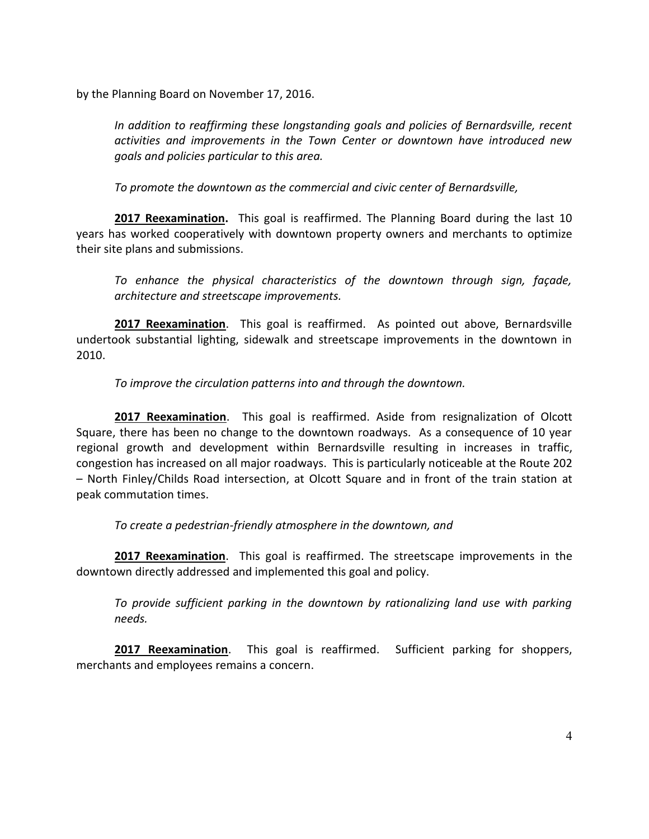by the Planning Board on November 17, 2016.

*In addition to reaffirming these longstanding goals and policies of Bernardsville, recent activities and improvements in the Town Center or downtown have introduced new goals and policies particular to this area.*

*To promote the downtown as the commercial and civic center of Bernardsville,*

**2017 Reexamination.** This goal is reaffirmed. The Planning Board during the last 10 years has worked cooperatively with downtown property owners and merchants to optimize their site plans and submissions.

*To enhance the physical characteristics of the downtown through sign, façade, architecture and streetscape improvements.* 

**2017 Reexamination**.This goal is reaffirmed.As pointed out above, Bernardsville undertook substantial lighting, sidewalk and streetscape improvements in the downtown in 2010.

*To improve the circulation patterns into and through the downtown.*

**2017 Reexamination**. This goal is reaffirmed. Aside from resignalization of Olcott Square, there has been no change to the downtown roadways. As a consequence of 10 year regional growth and development within Bernardsville resulting in increases in traffic, congestion has increased on all major roadways. This is particularly noticeable at the Route 202 – North Finley/Childs Road intersection, at Olcott Square and in front of the train station at peak commutation times.

*To create a pedestrian-friendly atmosphere in the downtown, and*

**2017 Reexamination**. This goal is reaffirmed. The streetscape improvements in the downtown directly addressed and implemented this goal and policy.

*To provide sufficient parking in the downtown by rationalizing land use with parking needs.*

**2017 Reexamination**. This goal is reaffirmed. Sufficient parking for shoppers, merchants and employees remains a concern.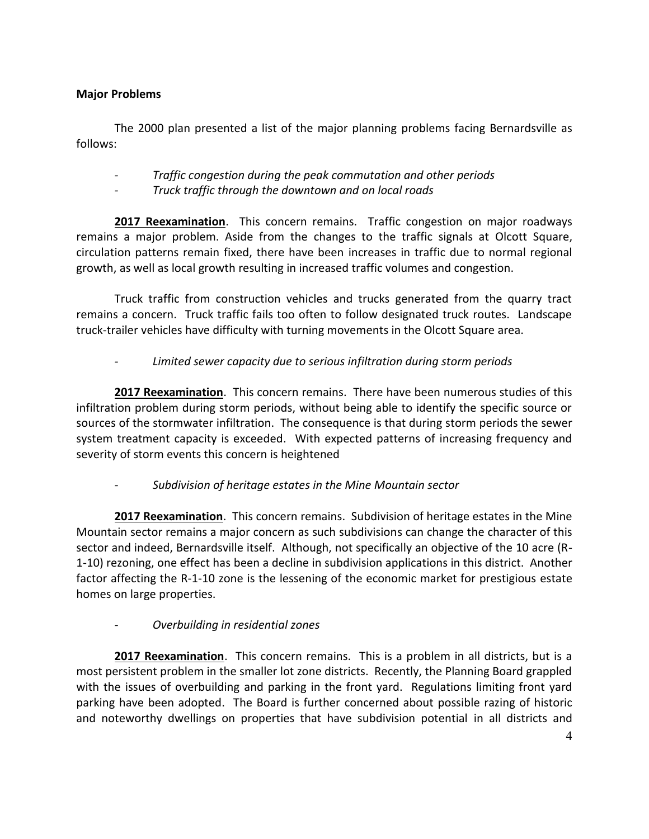## **Major Problems**

The 2000 plan presented a list of the major planning problems facing Bernardsville as follows:

- *- Traffic congestion during the peak commutation and other periods*
- *- Truck traffic through the downtown and on local roads*

**2017 Reexamination**. This concern remains. Traffic congestion on major roadways remains a major problem. Aside from the changes to the traffic signals at Olcott Square, circulation patterns remain fixed, there have been increases in traffic due to normal regional growth, as well as local growth resulting in increased traffic volumes and congestion.

Truck traffic from construction vehicles and trucks generated from the quarry tract remains a concern. Truck traffic fails too often to follow designated truck routes. Landscape truck-trailer vehicles have difficulty with turning movements in the Olcott Square area.

# *- Limited sewer capacity due to serious infiltration during storm periods*

**2017 Reexamination**. This concern remains. There have been numerous studies of this infiltration problem during storm periods, without being able to identify the specific source or sources of the stormwater infiltration. The consequence is that during storm periods the sewer system treatment capacity is exceeded. With expected patterns of increasing frequency and severity of storm events this concern is heightened

# *- Subdivision of heritage estates in the Mine Mountain sector*

**2017 Reexamination**. This concern remains. Subdivision of heritage estates in the Mine Mountain sector remains a major concern as such subdivisions can change the character of this sector and indeed, Bernardsville itself. Although, not specifically an objective of the 10 acre (R-1-10) rezoning, one effect has been a decline in subdivision applications in this district. Another factor affecting the R-1-10 zone is the lessening of the economic market for prestigious estate homes on large properties.

# *- Overbuilding in residential zones*

**2017 Reexamination**. This concern remains. This is a problem in all districts, but is a most persistent problem in the smaller lot zone districts. Recently, the Planning Board grappled with the issues of overbuilding and parking in the front yard. Regulations limiting front yard parking have been adopted. The Board is further concerned about possible razing of historic and noteworthy dwellings on properties that have subdivision potential in all districts and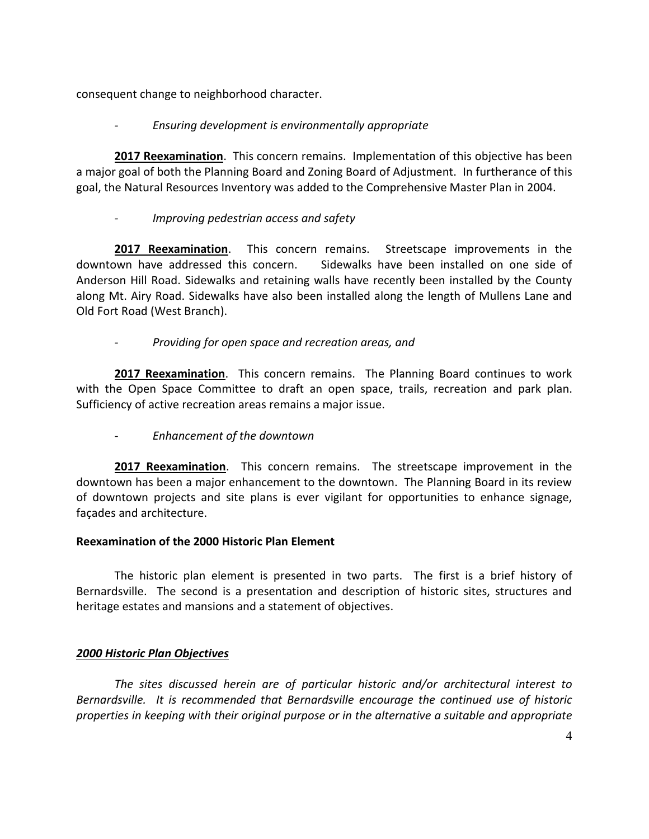consequent change to neighborhood character.

# *- Ensuring development is environmentally appropriate*

**2017 Reexamination**. This concern remains. Implementation of this objective has been a major goal of both the Planning Board and Zoning Board of Adjustment. In furtherance of this goal, the Natural Resources Inventory was added to the Comprehensive Master Plan in 2004.

# *- Improving pedestrian access and safety*

**2017 Reexamination**. This concern remains. Streetscape improvements in the downtown have addressed this concern. Sidewalks have been installed on one side of Anderson Hill Road. Sidewalks and retaining walls have recently been installed by the County along Mt. Airy Road. Sidewalks have also been installed along the length of Mullens Lane and Old Fort Road (West Branch).

# *- Providing for open space and recreation areas, and*

**2017 Reexamination**. This concern remains. The Planning Board continues to work with the Open Space Committee to draft an open space, trails, recreation and park plan. Sufficiency of active recreation areas remains a major issue.

# *- Enhancement of the downtown*

**2017 Reexamination**. This concern remains. The streetscape improvement in the downtown has been a major enhancement to the downtown. The Planning Board in its review of downtown projects and site plans is ever vigilant for opportunities to enhance signage, façades and architecture.

# **Reexamination of the 2000 Historic Plan Element**

The historic plan element is presented in two parts. The first is a brief history of Bernardsville. The second is a presentation and description of historic sites, structures and heritage estates and mansions and a statement of objectives.

# *2000 Historic Plan Objectives*

*The sites discussed herein are of particular historic and/or architectural interest to Bernardsville. It is recommended that Bernardsville encourage the continued use of historic properties in keeping with their original purpose or in the alternative a suitable and appropriate*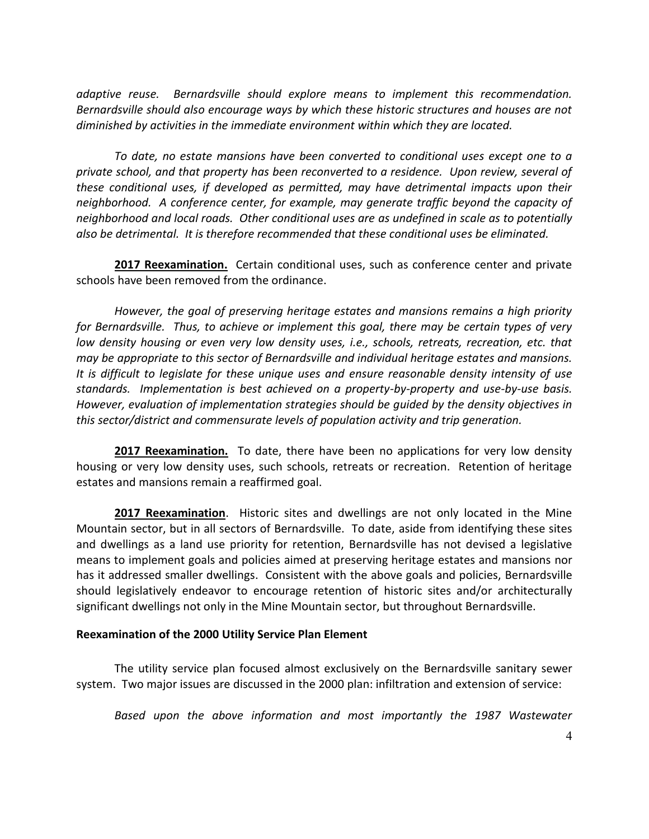*adaptive reuse. Bernardsville should explore means to implement this recommendation. Bernardsville should also encourage ways by which these historic structures and houses are not diminished by activities in the immediate environment within which they are located.*

*To date, no estate mansions have been converted to conditional uses except one to a private school, and that property has been reconverted to a residence. Upon review, several of these conditional uses, if developed as permitted, may have detrimental impacts upon their neighborhood. A conference center, for example, may generate traffic beyond the capacity of neighborhood and local roads. Other conditional uses are as undefined in scale as to potentially also be detrimental. It is therefore recommended that these conditional uses be eliminated.*

**2017 Reexamination.** Certain conditional uses, such as conference center and private schools have been removed from the ordinance.

*However, the goal of preserving heritage estates and mansions remains a high priority for Bernardsville. Thus, to achieve or implement this goal, there may be certain types of very low density housing or even very low density uses, i.e., schools, retreats, recreation, etc. that may be appropriate to this sector of Bernardsville and individual heritage estates and mansions. It is difficult to legislate for these unique uses and ensure reasonable density intensity of use standards. Implementation is best achieved on a property-by-property and use-by-use basis. However, evaluation of implementation strategies should be guided by the density objectives in this sector/district and commensurate levels of population activity and trip generation.*

**2017 Reexamination.** To date, there have been no applications for very low density housing or very low density uses, such schools, retreats or recreation. Retention of heritage estates and mansions remain a reaffirmed goal.

**2017 Reexamination**. Historic sites and dwellings are not only located in the Mine Mountain sector, but in all sectors of Bernardsville. To date, aside from identifying these sites and dwellings as a land use priority for retention, Bernardsville has not devised a legislative means to implement goals and policies aimed at preserving heritage estates and mansions nor has it addressed smaller dwellings. Consistent with the above goals and policies, Bernardsville should legislatively endeavor to encourage retention of historic sites and/or architecturally significant dwellings not only in the Mine Mountain sector, but throughout Bernardsville.

#### **Reexamination of the 2000 Utility Service Plan Element**

The utility service plan focused almost exclusively on the Bernardsville sanitary sewer system. Two major issues are discussed in the 2000 plan: infiltration and extension of service:

*Based upon the above information and most importantly the 1987 Wastewater*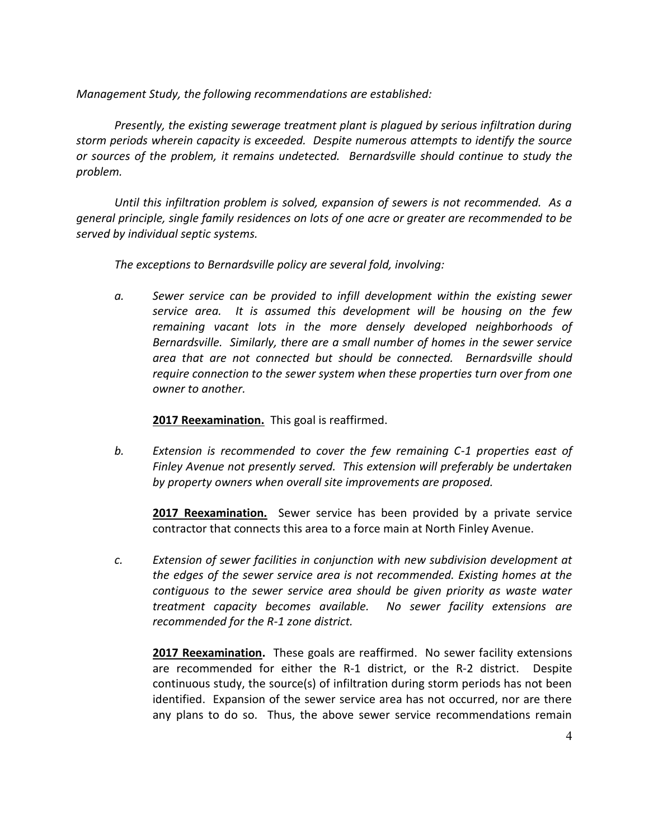*Management Study, the following recommendations are established:*

*Presently, the existing sewerage treatment plant is plagued by serious infiltration during storm periods wherein capacity is exceeded. Despite numerous attempts to identify the source or sources of the problem, it remains undetected. Bernardsville should continue to study the problem.*

*Until this infiltration problem is solved, expansion of sewers is not recommended. As a general principle, single family residences on lots of one acre or greater are recommended to be served by individual septic systems.*

*The exceptions to Bernardsville policy are several fold, involving:*

*a. Sewer service can be provided to infill development within the existing sewer service area. It is assumed this development will be housing on the few remaining vacant lots in the more densely developed neighborhoods of Bernardsville. Similarly, there are a small number of homes in the sewer service area that are not connected but should be connected. Bernardsville should require connection to the sewer system when these properties turn over from one owner to another.*

#### **2017 Reexamination.** This goal is reaffirmed.

*b. Extension is recommended to cover the few remaining C-1 properties east of Finley Avenue not presently served. This extension will preferably be undertaken by property owners when overall site improvements are proposed.*

**2017 Reexamination.** Sewer service has been provided by a private service contractor that connects this area to a force main at North Finley Avenue.

*c. Extension of sewer facilities in conjunction with new subdivision development at the edges of the sewer service area is not recommended. Existing homes at the contiguous to the sewer service area should be given priority as waste water treatment capacity becomes available. No sewer facility extensions are recommended for the R-1 zone district.*

**2017 Reexamination.**These goals are reaffirmed. No sewer facility extensions are recommended for either the R-1 district, or the R-2 district. Despite continuous study, the source(s) of infiltration during storm periods has not been identified. Expansion of the sewer service area has not occurred, nor are there any plans to do so. Thus, the above sewer service recommendations remain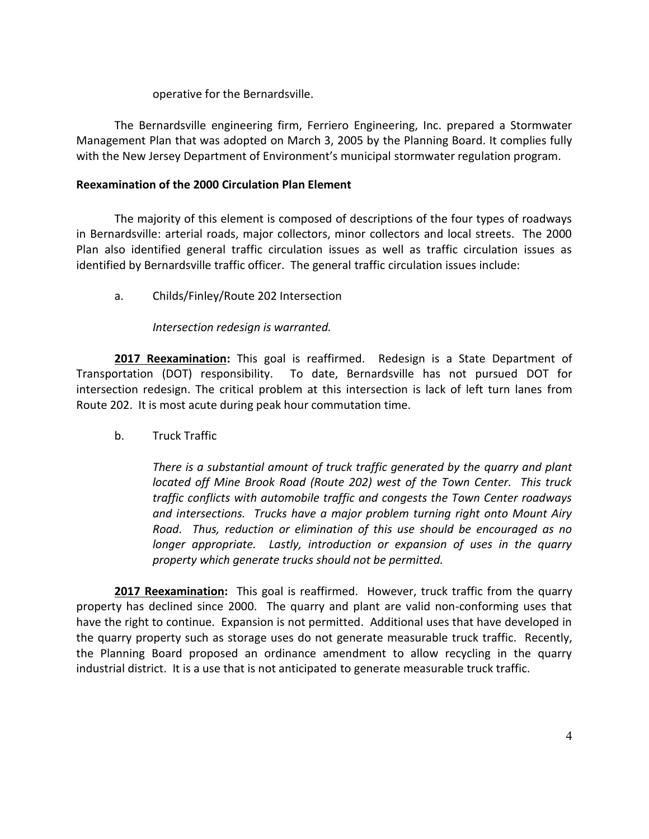operative for the Bernardsville.

The Bernardsville engineering firm, Ferriero Engineering, Inc. prepared a Stormwater Management Plan that was adopted on March 3, 2005 by the Planning Board. It complies fully with the New Jersey Department of Environment's municipal stormwater regulation program.

## **Reexamination of the 2000 Circulation Plan Element**

The majority of this element is composed of descriptions of the four types of roadways in Bernardsville: arterial roads, major collectors, minor collectors and local streets. The 2000 Plan also identified general traffic circulation issues as well as traffic circulation issues as identified by Bernardsville traffic officer. The general traffic circulation issues include:

a. Childs/Finley/Route 202 Intersection

# *Intersection redesign is warranted.*

**2017 Reexamination:** This goal is reaffirmed. Redesign is a State Department of Transportation (DOT) responsibility. To date, Bernardsville has not pursued DOT for intersection redesign. The critical problem at this intersection is lack of left turn lanes from Route 202. It is most acute during peak hour commutation time.

b. Truck Traffic

*There is a substantial amount of truck traffic generated by the quarry and plant located off Mine Brook Road (Route 202) west of the Town Center. This truck traffic conflicts with automobile traffic and congests the Town Center roadways and intersections. Trucks have a major problem turning right onto Mount Airy Road. Thus, reduction or elimination of this use should be encouraged as no longer appropriate. Lastly, introduction or expansion of uses in the quarry property which generate trucks should not be permitted.*

**2017 Reexamination:** This goal is reaffirmed. However, truck traffic from the quarry property has declined since 2000. The quarry and plant are valid non-conforming uses that have the right to continue. Expansion is not permitted. Additional uses that have developed in the quarry property such as storage uses do not generate measurable truck traffic. Recently, the Planning Board proposed an ordinance amendment to allow recycling in the quarry industrial district. It is a use that is not anticipated to generate measurable truck traffic.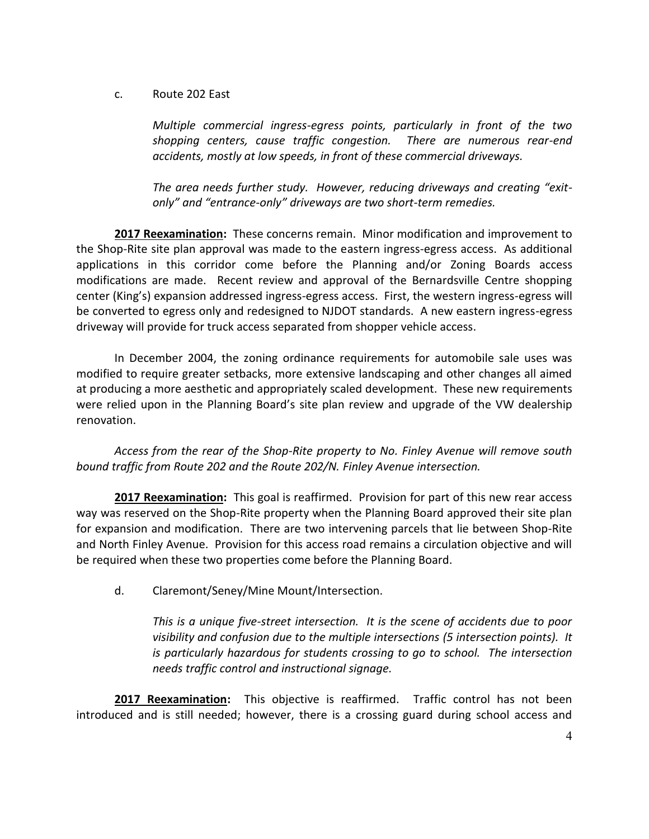#### c. Route 202 East

*Multiple commercial ingress-egress points, particularly in front of the two shopping centers, cause traffic congestion. There are numerous rear-end accidents, mostly at low speeds, in front of these commercial driveways.*

*The area needs further study. However, reducing driveways and creating "exitonly" and "entrance-only" driveways are two short-term remedies.*

**2017 Reexamination:** These concerns remain. Minor modification and improvement to the Shop-Rite site plan approval was made to the eastern ingress-egress access. As additional applications in this corridor come before the Planning and/or Zoning Boards access modifications are made. Recent review and approval of the Bernardsville Centre shopping center (King's) expansion addressed ingress-egress access. First, the western ingress-egress will be converted to egress only and redesigned to NJDOT standards. A new eastern ingress-egress driveway will provide for truck access separated from shopper vehicle access.

In December 2004, the zoning ordinance requirements for automobile sale uses was modified to require greater setbacks, more extensive landscaping and other changes all aimed at producing a more aesthetic and appropriately scaled development. These new requirements were relied upon in the Planning Board's site plan review and upgrade of the VW dealership renovation.

*Access from the rear of the Shop-Rite property to No. Finley Avenue will remove south bound traffic from Route 202 and the Route 202/N. Finley Avenue intersection.*

**2017 Reexamination:** This goal is reaffirmed. Provision for part of this new rear access way was reserved on the Shop-Rite property when the Planning Board approved their site plan for expansion and modification. There are two intervening parcels that lie between Shop-Rite and North Finley Avenue. Provision for this access road remains a circulation objective and will be required when these two properties come before the Planning Board.

d. Claremont/Seney/Mine Mount/Intersection.

*This is a unique five-street intersection. It is the scene of accidents due to poor visibility and confusion due to the multiple intersections (5 intersection points). It is particularly hazardous for students crossing to go to school. The intersection needs traffic control and instructional signage.* 

**2017 Reexamination:** This objective is reaffirmed. Traffic control has not been introduced and is still needed; however, there is a crossing guard during school access and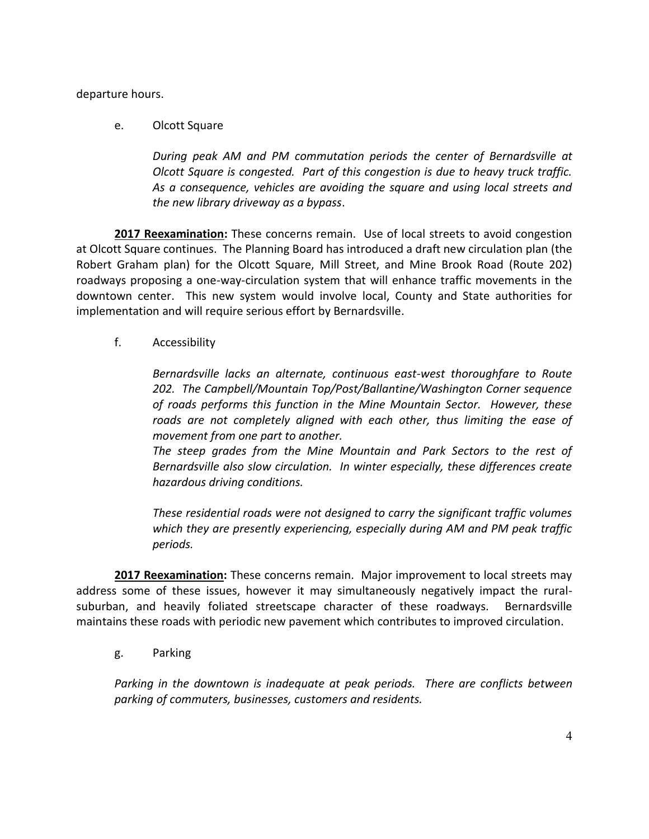departure hours.

## e. Olcott Square

*During peak AM and PM commutation periods the center of Bernardsville at Olcott Square is congested. Part of this congestion is due to heavy truck traffic. As a consequence, vehicles are avoiding the square and using local streets and the new library driveway as a bypass*.

**2017 Reexamination:** These concerns remain. Use of local streets to avoid congestion at Olcott Square continues. The Planning Board has introduced a draft new circulation plan (the Robert Graham plan) for the Olcott Square, Mill Street, and Mine Brook Road (Route 202) roadways proposing a one-way-circulation system that will enhance traffic movements in the downtown center. This new system would involve local, County and State authorities for implementation and will require serious effort by Bernardsville.

f. Accessibility

*Bernardsville lacks an alternate, continuous east-west thoroughfare to Route 202. The Campbell/Mountain Top/Post/Ballantine/Washington Corner sequence of roads performs this function in the Mine Mountain Sector. However, these roads are not completely aligned with each other, thus limiting the ease of movement from one part to another.*

*The steep grades from the Mine Mountain and Park Sectors to the rest of Bernardsville also slow circulation. In winter especially, these differences create hazardous driving conditions.*

*These residential roads were not designed to carry the significant traffic volumes which they are presently experiencing, especially during AM and PM peak traffic periods.*

**2017 Reexamination:** These concerns remain. Major improvement to local streets may address some of these issues, however it may simultaneously negatively impact the ruralsuburban, and heavily foliated streetscape character of these roadways. Bernardsville maintains these roads with periodic new pavement which contributes to improved circulation.

g. Parking

*Parking in the downtown is inadequate at peak periods. There are conflicts between parking of commuters, businesses, customers and residents.*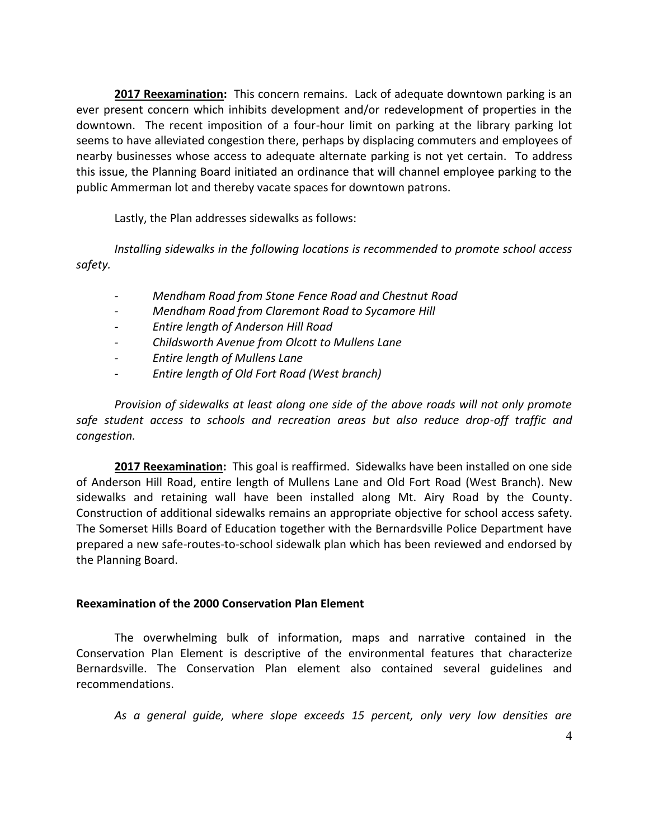**2017 Reexamination:** This concern remains. Lack of adequate downtown parking is an ever present concern which inhibits development and/or redevelopment of properties in the downtown. The recent imposition of a four-hour limit on parking at the library parking lot seems to have alleviated congestion there, perhaps by displacing commuters and employees of nearby businesses whose access to adequate alternate parking is not yet certain. To address this issue, the Planning Board initiated an ordinance that will channel employee parking to the public Ammerman lot and thereby vacate spaces for downtown patrons.

Lastly, the Plan addresses sidewalks as follows:

*Installing sidewalks in the following locations is recommended to promote school access safety.*

- *- Mendham Road from Stone Fence Road and Chestnut Road*
- *- Mendham Road from Claremont Road to Sycamore Hill*
- *- Entire length of Anderson Hill Road*
- *- Childsworth Avenue from Olcott to Mullens Lane*
- *- Entire length of Mullens Lane*
- *- Entire length of Old Fort Road (West branch)*

*Provision of sidewalks at least along one side of the above roads will not only promote safe student access to schools and recreation areas but also reduce drop-off traffic and congestion.*

**2017 Reexamination:** This goal is reaffirmed. Sidewalks have been installed on one side of Anderson Hill Road, entire length of Mullens Lane and Old Fort Road (West Branch). New sidewalks and retaining wall have been installed along Mt. Airy Road by the County. Construction of additional sidewalks remains an appropriate objective for school access safety. The Somerset Hills Board of Education together with the Bernardsville Police Department have prepared a new safe-routes-to-school sidewalk plan which has been reviewed and endorsed by the Planning Board.

## **Reexamination of the 2000 Conservation Plan Element**

The overwhelming bulk of information, maps and narrative contained in the Conservation Plan Element is descriptive of the environmental features that characterize Bernardsville. The Conservation Plan element also contained several guidelines and recommendations.

*As a general guide, where slope exceeds 15 percent, only very low densities are*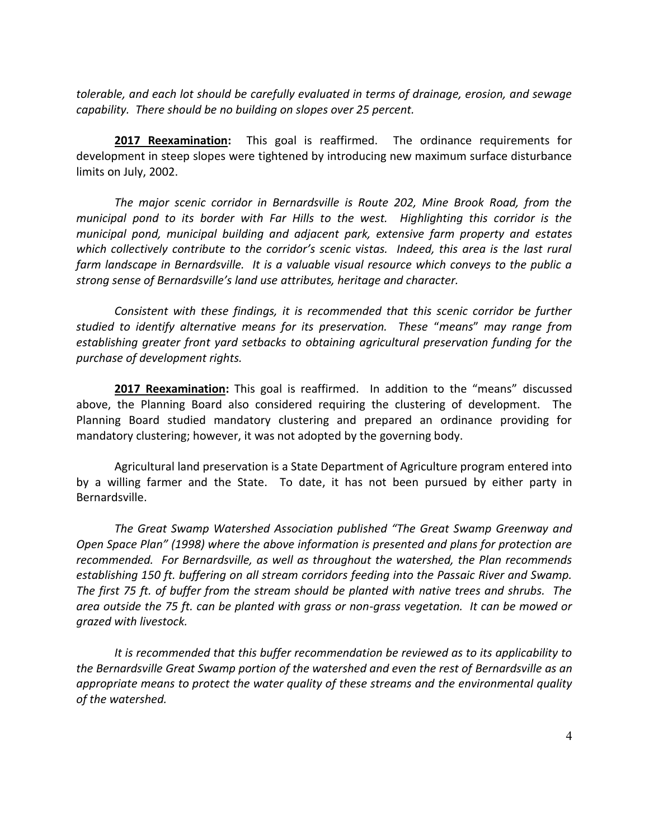*tolerable, and each lot should be carefully evaluated in terms of drainage, erosion, and sewage capability. There should be no building on slopes over 25 percent.*

**2017 Reexamination:** This goal is reaffirmed. The ordinance requirements for development in steep slopes were tightened by introducing new maximum surface disturbance limits on July, 2002.

*The major scenic corridor in Bernardsville is Route 202, Mine Brook Road, from the municipal pond to its border with Far Hills to the west. Highlighting this corridor is the municipal pond, municipal building and adjacent park, extensive farm property and estates which collectively contribute to the corridor's scenic vistas. Indeed, this area is the last rural farm landscape in Bernardsville. It is a valuable visual resource which conveys to the public a strong sense of Bernardsville's land use attributes, heritage and character.*

*Consistent with these findings, it is recommended that this scenic corridor be further studied to identify alternative means for its preservation. These* "*means*" *may range from establishing greater front yard setbacks to obtaining agricultural preservation funding for the purchase of development rights.*

**2017 Reexamination:** This goal is reaffirmed. In addition to the "means" discussed above, the Planning Board also considered requiring the clustering of development. The Planning Board studied mandatory clustering and prepared an ordinance providing for mandatory clustering; however, it was not adopted by the governing body.

Agricultural land preservation is a State Department of Agriculture program entered into by a willing farmer and the State. To date, it has not been pursued by either party in Bernardsville.

*The Great Swamp Watershed Association published "The Great Swamp Greenway and Open Space Plan" (1998) where the above information is presented and plans for protection are recommended. For Bernardsville, as well as throughout the watershed, the Plan recommends establishing 150 ft. buffering on all stream corridors feeding into the Passaic River and Swamp. The first 75 ft. of buffer from the stream should be planted with native trees and shrubs. The area outside the 75 ft. can be planted with grass or non-grass vegetation. It can be mowed or grazed with livestock.*

*It is recommended that this buffer recommendation be reviewed as to its applicability to the Bernardsville Great Swamp portion of the watershed and even the rest of Bernardsville as an appropriate means to protect the water quality of these streams and the environmental quality of the watershed.*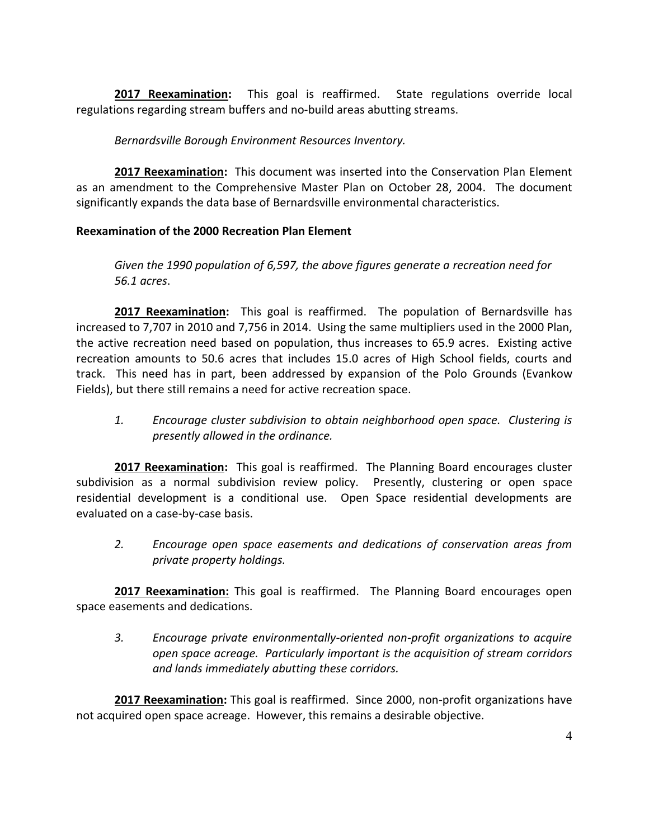**2017 Reexamination:** This goal is reaffirmed. State regulations override local regulations regarding stream buffers and no-build areas abutting streams.

*Bernardsville Borough Environment Resources Inventory.*

**2017 Reexamination:** This document was inserted into the Conservation Plan Element as an amendment to the Comprehensive Master Plan on October 28, 2004. The document significantly expands the data base of Bernardsville environmental characteristics.

## **Reexamination of the 2000 Recreation Plan Element**

*Given the 1990 population of 6,597, the above figures generate a recreation need for 56.1 acres*.

**2017 Reexamination:** This goal is reaffirmed. The population of Bernardsville has increased to 7,707 in 2010 and 7,756 in 2014. Using the same multipliers used in the 2000 Plan, the active recreation need based on population, thus increases to 65.9 acres. Existing active recreation amounts to 50.6 acres that includes 15.0 acres of High School fields, courts and track. This need has in part, been addressed by expansion of the Polo Grounds (Evankow Fields), but there still remains a need for active recreation space.

*1. Encourage cluster subdivision to obtain neighborhood open space. Clustering is presently allowed in the ordinance.*

**2017 Reexamination:** This goal is reaffirmed. The Planning Board encourages cluster subdivision as a normal subdivision review policy. Presently, clustering or open space residential development is a conditional use. Open Space residential developments are evaluated on a case-by-case basis.

*2. Encourage open space easements and dedications of conservation areas from private property holdings.*

**2017 Reexamination:** This goal is reaffirmed. The Planning Board encourages open space easements and dedications.

*3. Encourage private environmentally-oriented non-profit organizations to acquire open space acreage. Particularly important is the acquisition of stream corridors and lands immediately abutting these corridors.*

**2017 Reexamination:** This goal is reaffirmed. Since 2000, non-profit organizations have not acquired open space acreage. However, this remains a desirable objective.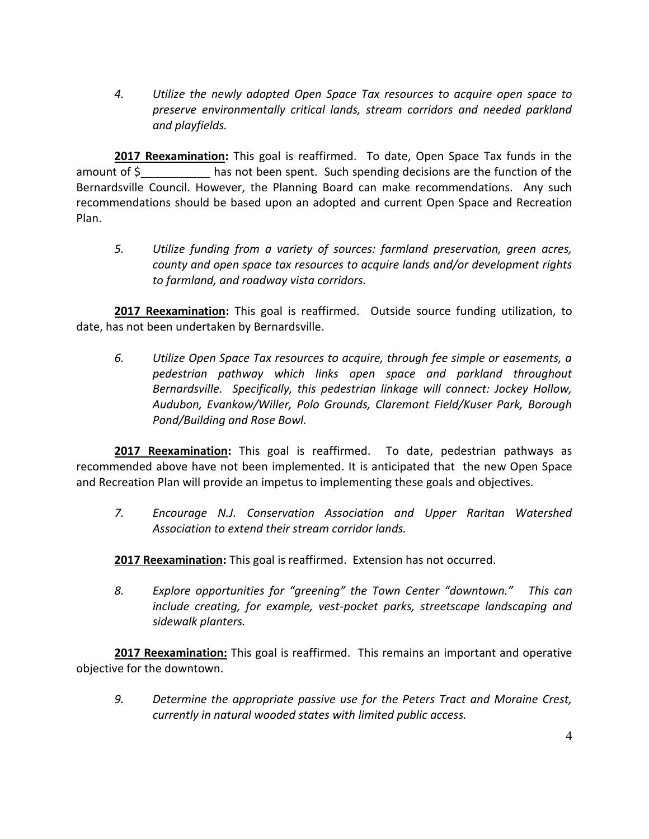*4. Utilize the newly adopted Open Space Tax resources to acquire open space to preserve environmentally critical lands, stream corridors and needed parkland and playfields.*

**2017 Reexamination:** This goal is reaffirmed. To date, Open Space Tax funds in the amount of  $\zeta$  has not been spent. Such spending decisions are the function of the Bernardsville Council. However, the Planning Board can make recommendations. Any such recommendations should be based upon an adopted and current Open Space and Recreation Plan.

*5. Utilize funding from a variety of sources: farmland preservation, green acres, county and open space tax resources to acquire lands and/or development rights to farmland, and roadway vista corridors.*

**2017 Reexamination:** This goal is reaffirmed. Outside source funding utilization, to date, has not been undertaken by Bernardsville.

*6. Utilize Open Space Tax resources to acquire, through fee simple or easements, a pedestrian pathway which links open space and parkland throughout Bernardsville. Specifically, this pedestrian linkage will connect: Jockey Hollow, Audubon, Evankow/Willer, Polo Grounds, Claremont Field/Kuser Park, Borough Pond/Building and Rose Bowl.*

**2017 Reexamination:** This goal is reaffirmed. To date, pedestrian pathways as recommended above have not been implemented. It is anticipated that the new Open Space and Recreation Plan will provide an impetus to implementing these goals and objectives.

*7. Encourage N.J. Conservation Association and Upper Raritan Watershed Association to extend their stream corridor lands.*

**2017 Reexamination:** This goal is reaffirmed. Extension has not occurred.

*8. Explore opportunities for "greening" the Town Center "downtown." This can include creating, for example, vest-pocket parks, streetscape landscaping and sidewalk planters.*

**2017 Reexamination:** This goal is reaffirmed. This remains an important and operative objective for the downtown.

*9. Determine the appropriate passive use for the Peters Tract and Moraine Crest, currently in natural wooded states with limited public access.*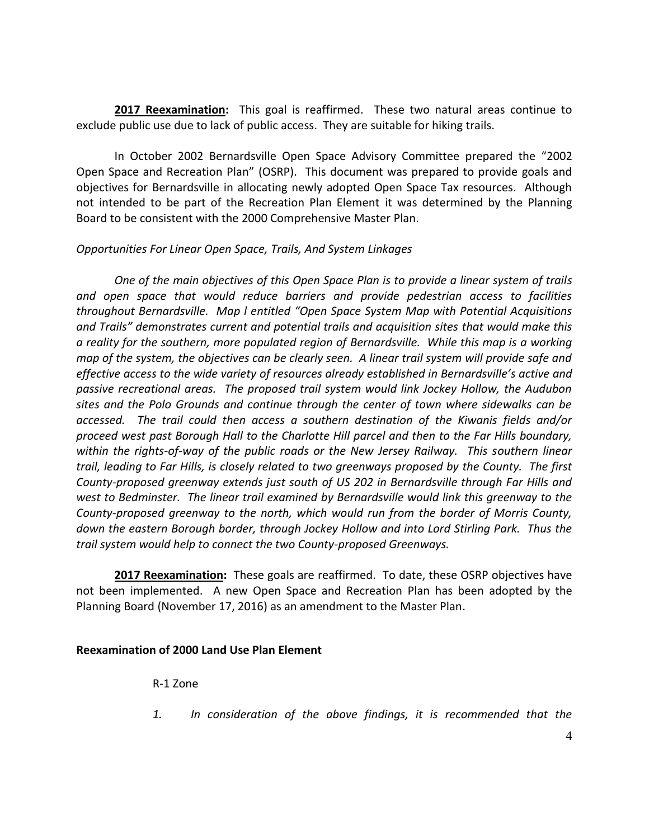**2017 Reexamination:** This goal is reaffirmed. These two natural areas continue to exclude public use due to lack of public access. They are suitable for hiking trails.

In October 2002 Bernardsville Open Space Advisory Committee prepared the "2002 Open Space and Recreation Plan" (OSRP). This document was prepared to provide goals and objectives for Bernardsville in allocating newly adopted Open Space Tax resources. Although not intended to be part of the Recreation Plan Element it was determined by the Planning Board to be consistent with the 2000 Comprehensive Master Plan.

## *Opportunities For Linear Open Space, Trails, And System Linkages*

*One of the main objectives of this Open Space Plan is to provide a linear system of trails and open space that would reduce barriers and provide pedestrian access to facilities throughout Bernardsville. Map l entitled "Open Space System Map with Potential Acquisitions and Trails" demonstrates current and potential trails and acquisition sites that would make this a reality for the southern, more populated region of Bernardsville. While this map is a working map of the system, the objectives can be clearly seen. A linear trail system will provide safe and effective access to the wide variety of resources already established in Bernardsville's active and passive recreational areas. The proposed trail system would link Jockey Hollow, the Audubon sites and the Polo Grounds and continue through the center of town where sidewalks can be accessed. The trail could then access a southern destination of the Kiwanis fields and/or proceed west past Borough Hall to the Charlotte Hill parcel and then to the Far Hills boundary, within the rights-of-way of the public roads or the New Jersey Railway. This southern linear trail, leading to Far Hills, is closely related to two greenways proposed by the County. The first County-proposed greenway extends just south of US 202 in Bernardsville through Far Hills and west to Bedminster. The linear trail examined by Bernardsville would link this greenway to the County-proposed greenway to the north, which would run from the border of Morris County, down the eastern Borough border, through Jockey Hollow and into Lord Stirling Park. Thus the trail system would help to connect the two County-proposed Greenways.* 

**2017 Reexamination:** These goals are reaffirmed. To date, these OSRP objectives have not been implemented. A new Open Space and Recreation Plan has been adopted by the Planning Board (November 17, 2016) as an amendment to the Master Plan.

#### **Reexamination of 2000 Land Use Plan Element**

R-1 Zone

*1. In consideration of the above findings, it is recommended that the*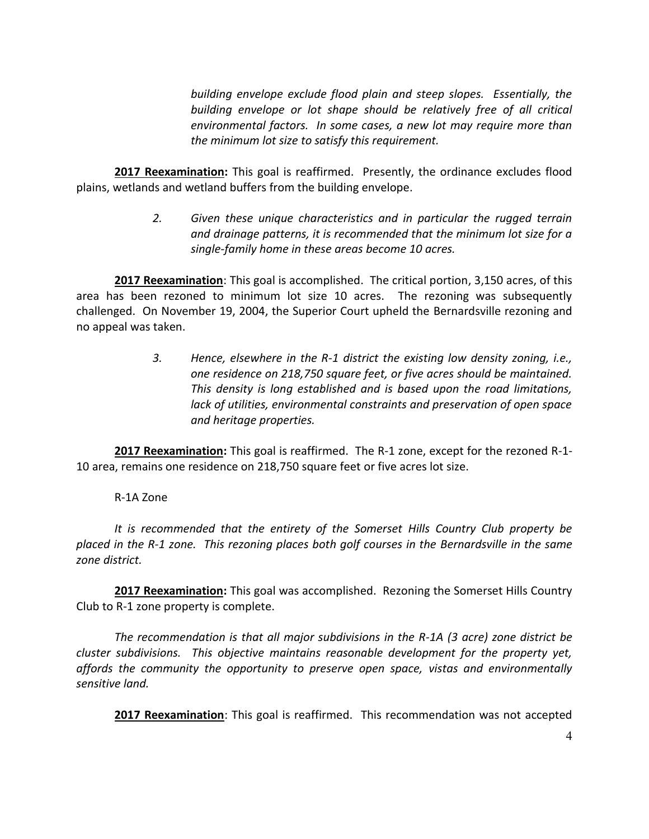*building envelope exclude flood plain and steep slopes. Essentially, the building envelope or lot shape should be relatively free of all critical environmental factors. In some cases, a new lot may require more than the minimum lot size to satisfy this requirement.*

**2017 Reexamination:** This goal is reaffirmed. Presently, the ordinance excludes flood plains, wetlands and wetland buffers from the building envelope.

> *2. Given these unique characteristics and in particular the rugged terrain and drainage patterns, it is recommended that the minimum lot size for a single-family home in these areas become 10 acres.*

**2017 Reexamination**: This goal is accomplished. The critical portion, 3,150 acres, of this area has been rezoned to minimum lot size 10 acres. The rezoning was subsequently challenged. On November 19, 2004, the Superior Court upheld the Bernardsville rezoning and no appeal was taken.

> *3. Hence, elsewhere in the R-1 district the existing low density zoning, i.e., one residence on 218,750 square feet, or five acres should be maintained. This density is long established and is based upon the road limitations, lack of utilities, environmental constraints and preservation of open space and heritage properties.*

**2017 Reexamination:** This goal is reaffirmed. The R-1 zone, except for the rezoned R-1- 10 area, remains one residence on 218,750 square feet or five acres lot size.

# R-1A Zone

*It is recommended that the entirety of the Somerset Hills Country Club property be placed in the R-1 zone. This rezoning places both golf courses in the Bernardsville in the same zone district.*

**2017 Reexamination:** This goal was accomplished. Rezoning the Somerset Hills Country Club to R-1 zone property is complete.

*The recommendation is that all major subdivisions in the R-1A (3 acre) zone district be cluster subdivisions. This objective maintains reasonable development for the property yet, affords the community the opportunity to preserve open space, vistas and environmentally sensitive land.*

**2017 Reexamination**: This goal is reaffirmed. This recommendation was not accepted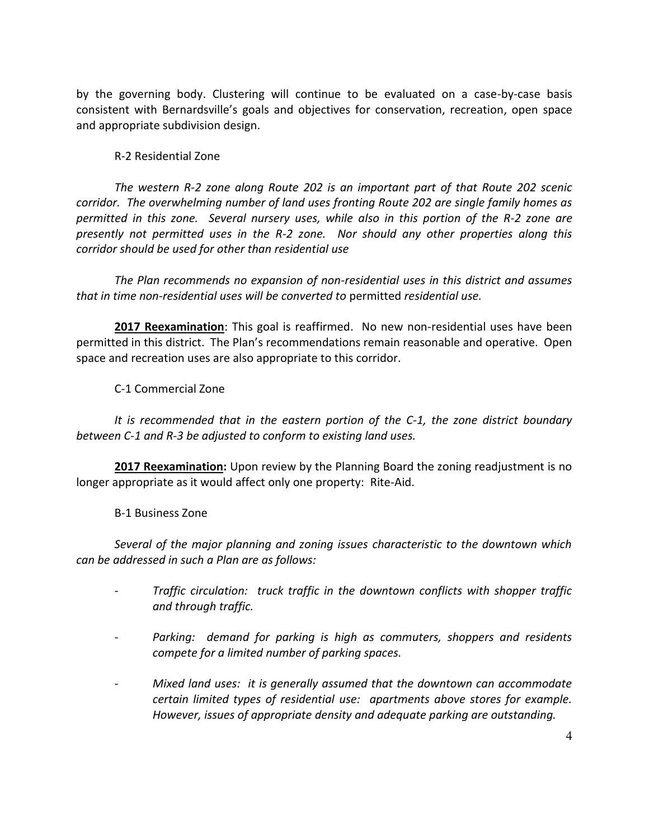by the governing body. Clustering will continue to be evaluated on a case-by-case basis consistent with Bernardsville's goals and objectives for conservation, recreation, open space and appropriate subdivision design.

## R-2 Residential Zone

*The western R-2 zone along Route 202 is an important part of that Route 202 scenic corridor. The overwhelming number of land uses fronting Route 202 are single family homes as permitted in this zone. Several nursery uses, while also in this portion of the R-2 zone are presently not permitted uses in the R-2 zone. Nor should any other properties along this corridor should be used for other than residential use*

*The Plan recommends no expansion of non-residential uses in this district and assumes that in time non-residential uses will be converted to* permitted *residential use.*

**2017 Reexamination**: This goal is reaffirmed. No new non-residential uses have been permitted in this district. The Plan's recommendations remain reasonable and operative. Open space and recreation uses are also appropriate to this corridor.

C-1 Commercial Zone

*It is recommended that in the eastern portion of the C-1, the zone district boundary between C-1 and R-3 be adjusted to conform to existing land uses.*

**2017 Reexamination:** Upon review by the Planning Board the zoning readjustment is no longer appropriate as it would affect only one property: Rite-Aid.

## B-1 Business Zone

*Several of the major planning and zoning issues characteristic to the downtown which can be addressed in such a Plan are as follows:*

- *- Traffic circulation: truck traffic in the downtown conflicts with shopper traffic and through traffic.*
- *- Parking: demand for parking is high as commuters, shoppers and residents compete for a limited number of parking spaces.*
- *- Mixed land uses: it is generally assumed that the downtown can accommodate certain limited types of residential use: apartments above stores for example. However, issues of appropriate density and adequate parking are outstanding.*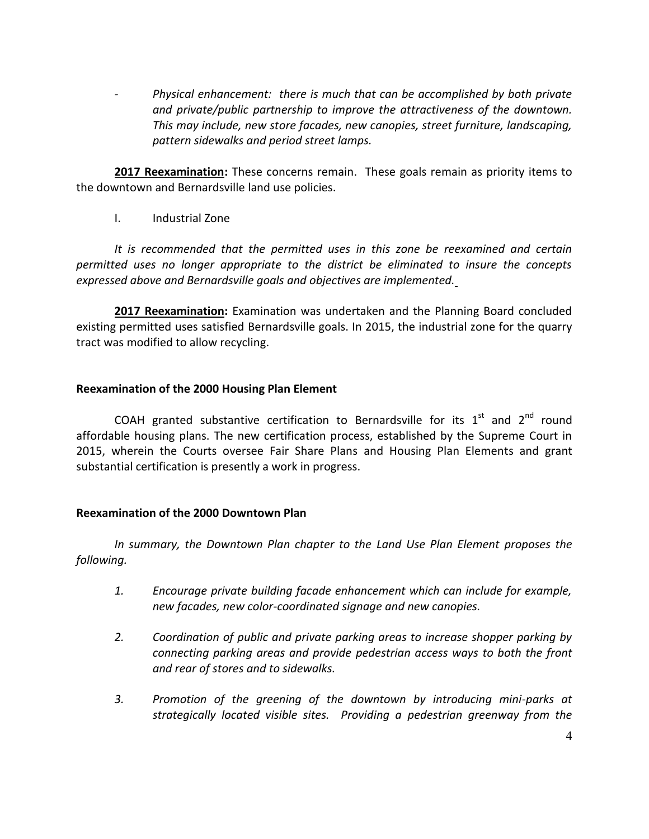*- Physical enhancement: there is much that can be accomplished by both private and private/public partnership to improve the attractiveness of the downtown. This may include, new store facades, new canopies, street furniture, landscaping, pattern sidewalks and period street lamps.*

**2017 Reexamination:** These concerns remain. These goals remain as priority items to the downtown and Bernardsville land use policies.

I. Industrial Zone

*It is recommended that the permitted uses in this zone be reexamined and certain permitted uses no longer appropriate to the district be eliminated to insure the concepts expressed above and Bernardsville goals and objectives are implemented.*

**2017 Reexamination:** Examination was undertaken and the Planning Board concluded existing permitted uses satisfied Bernardsville goals. In 2015, the industrial zone for the quarry tract was modified to allow recycling.

## **Reexamination of the 2000 Housing Plan Element**

COAH granted substantive certification to Bernardsville for its  $1<sup>st</sup>$  and  $2<sup>nd</sup>$  round affordable housing plans. The new certification process, established by the Supreme Court in 2015, wherein the Courts oversee Fair Share Plans and Housing Plan Elements and grant substantial certification is presently a work in progress.

## **Reexamination of the 2000 Downtown Plan**

*In summary, the Downtown Plan chapter to the Land Use Plan Element proposes the following.*

- *1. Encourage private building facade enhancement which can include for example, new facades, new color-coordinated signage and new canopies.*
- *2. Coordination of public and private parking areas to increase shopper parking by connecting parking areas and provide pedestrian access ways to both the front and rear of stores and to sidewalks.*
- *3. Promotion of the greening of the downtown by introducing mini-parks at strategically located visible sites. Providing a pedestrian greenway from the*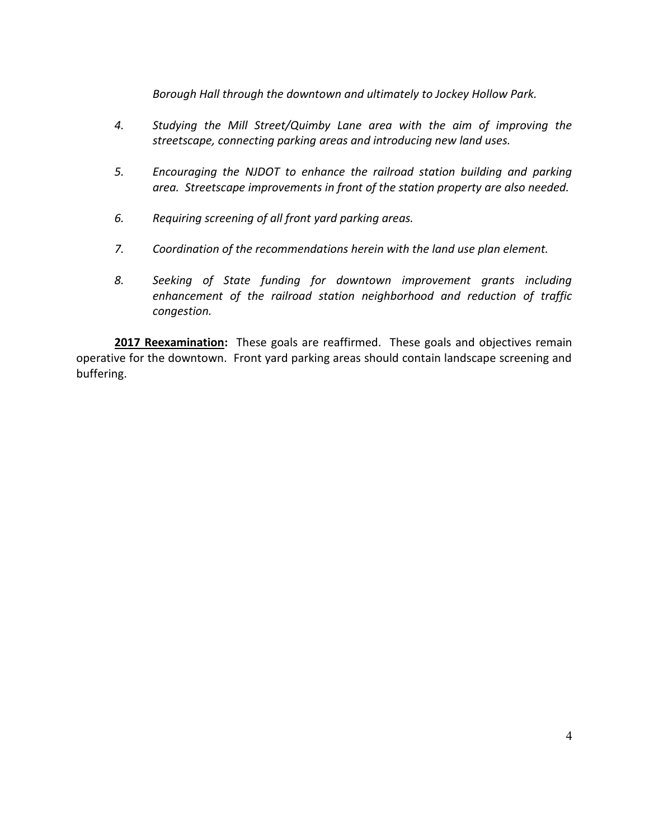*Borough Hall through the downtown and ultimately to Jockey Hollow Park.*

- *4. Studying the Mill Street/Quimby Lane area with the aim of improving the streetscape, connecting parking areas and introducing new land uses.*
- *5. Encouraging the NJDOT to enhance the railroad station building and parking area. Streetscape improvements in front of the station property are also needed.*
- *6. Requiring screening of all front yard parking areas.*
- *7. Coordination of the recommendations herein with the land use plan element.*
- *8. Seeking of State funding for downtown improvement grants including enhancement of the railroad station neighborhood and reduction of traffic congestion.*

**2017 Reexamination:** These goals are reaffirmed. These goals and objectives remain operative for the downtown. Front yard parking areas should contain landscape screening and buffering.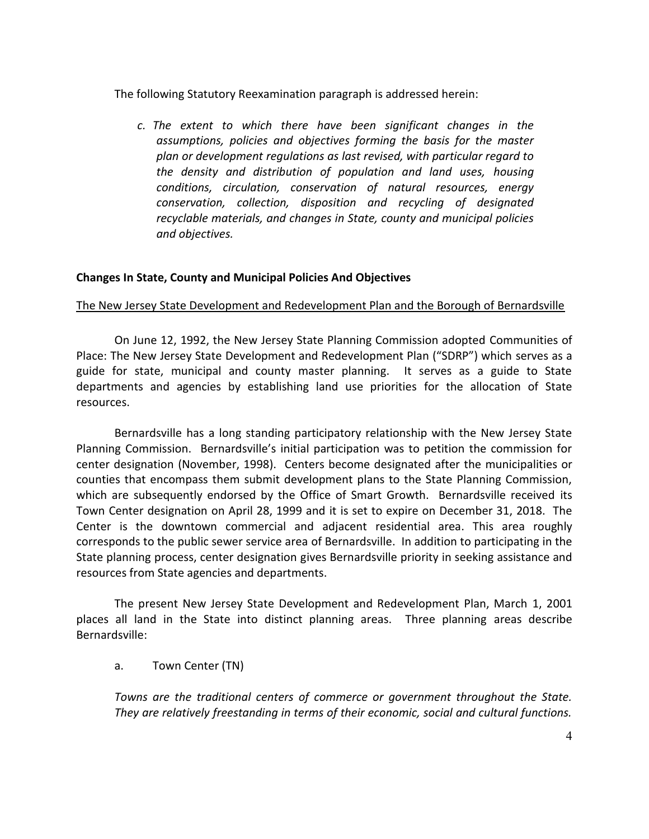The following Statutory Reexamination paragraph is addressed herein:

*c. The extent to which there have been significant changes in the assumptions, policies and objectives forming the basis for the master plan or development regulations as last revised, with particular regard to the density and distribution of population and land uses, housing conditions, circulation, conservation of natural resources, energy conservation, collection, disposition and recycling of designated recyclable materials, and changes in State, county and municipal policies and objectives.*

## **Changes In State, County and Municipal Policies And Objectives**

#### The New Jersey State Development and Redevelopment Plan and the Borough of Bernardsville

On June 12, 1992, the New Jersey State Planning Commission adopted Communities of Place: The New Jersey State Development and Redevelopment Plan ("SDRP") which serves as a guide for state, municipal and county master planning. It serves as a guide to State departments and agencies by establishing land use priorities for the allocation of State resources.

Bernardsville has a long standing participatory relationship with the New Jersey State Planning Commission. Bernardsville's initial participation was to petition the commission for center designation (November, 1998). Centers become designated after the municipalities or counties that encompass them submit development plans to the State Planning Commission, which are subsequently endorsed by the Office of Smart Growth. Bernardsville received its Town Center designation on April 28, 1999 and it is set to expire on December 31, 2018. The Center is the downtown commercial and adjacent residential area. This area roughly corresponds to the public sewer service area of Bernardsville. In addition to participating in the State planning process, center designation gives Bernardsville priority in seeking assistance and resources from State agencies and departments.

The present New Jersey State Development and Redevelopment Plan, March 1, 2001 places all land in the State into distinct planning areas. Three planning areas describe Bernardsville:

#### a. Town Center (TN)

*Towns are the traditional centers of commerce or government throughout the State. They are relatively freestanding in terms of their economic, social and cultural functions.*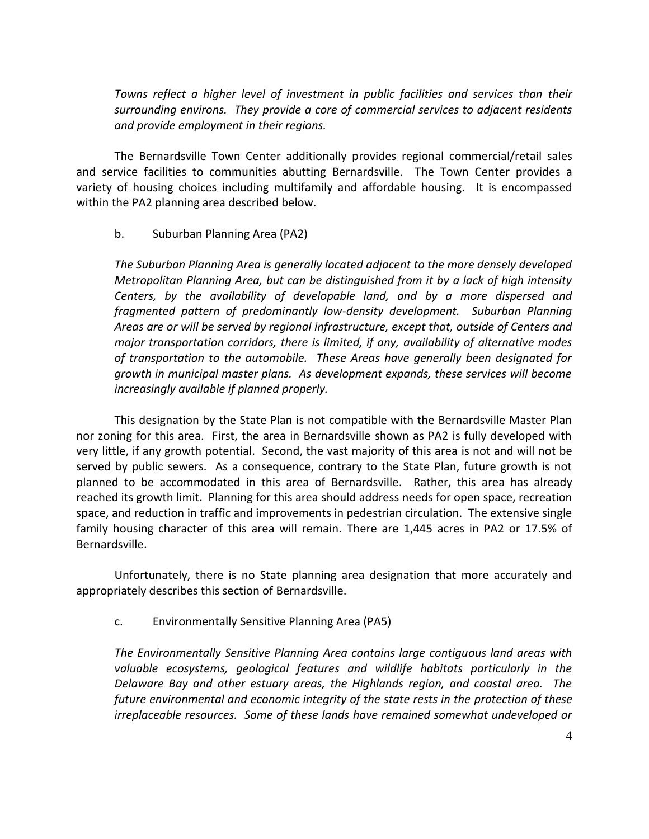*Towns reflect a higher level of investment in public facilities and services than their surrounding environs. They provide a core of commercial services to adjacent residents and provide employment in their regions.*

The Bernardsville Town Center additionally provides regional commercial/retail sales and service facilities to communities abutting Bernardsville. The Town Center provides a variety of housing choices including multifamily and affordable housing. It is encompassed within the PA2 planning area described below.

## b. Suburban Planning Area (PA2)

*The Suburban Planning Area is generally located adjacent to the more densely developed Metropolitan Planning Area, but can be distinguished from it by a lack of high intensity Centers, by the availability of developable land, and by a more dispersed and fragmented pattern of predominantly low-density development. Suburban Planning Areas are or will be served by regional infrastructure, except that, outside of Centers and major transportation corridors, there is limited, if any, availability of alternative modes of transportation to the automobile. These Areas have generally been designated for growth in municipal master plans. As development expands, these services will become increasingly available if planned properly.*

This designation by the State Plan is not compatible with the Bernardsville Master Plan nor zoning for this area. First, the area in Bernardsville shown as PA2 is fully developed with very little, if any growth potential. Second, the vast majority of this area is not and will not be served by public sewers. As a consequence, contrary to the State Plan, future growth is not planned to be accommodated in this area of Bernardsville. Rather, this area has already reached its growth limit. Planning for this area should address needs for open space, recreation space, and reduction in traffic and improvements in pedestrian circulation. The extensive single family housing character of this area will remain. There are 1,445 acres in PA2 or 17.5% of Bernardsville.

Unfortunately, there is no State planning area designation that more accurately and appropriately describes this section of Bernardsville.

c. Environmentally Sensitive Planning Area (PA5)

*The Environmentally Sensitive Planning Area contains large contiguous land areas with valuable ecosystems, geological features and wildlife habitats particularly in the Delaware Bay and other estuary areas, the Highlands region, and coastal area. The future environmental and economic integrity of the state rests in the protection of these irreplaceable resources. Some of these lands have remained somewhat undeveloped or*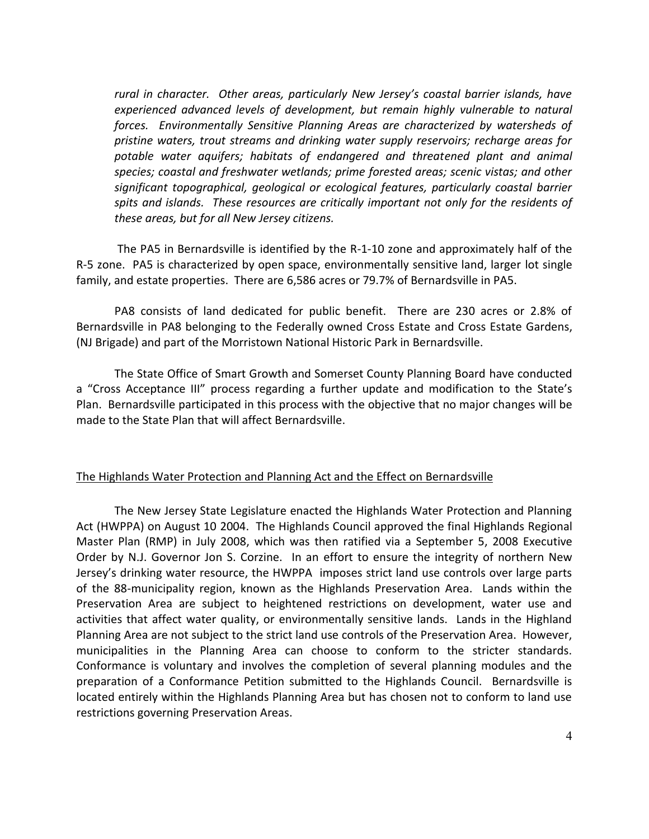*rural in character. Other areas, particularly New Jersey's coastal barrier islands, have experienced advanced levels of development, but remain highly vulnerable to natural forces. Environmentally Sensitive Planning Areas are characterized by watersheds of pristine waters, trout streams and drinking water supply reservoirs; recharge areas for potable water aquifers; habitats of endangered and threatened plant and animal species; coastal and freshwater wetlands; prime forested areas; scenic vistas; and other significant topographical, geological or ecological features, particularly coastal barrier spits and islands. These resources are critically important not only for the residents of these areas, but for all New Jersey citizens.*

The PA5 in Bernardsville is identified by the R-1-10 zone and approximately half of the R-5 zone. PA5 is characterized by open space, environmentally sensitive land, larger lot single family, and estate properties. There are 6,586 acres or 79.7% of Bernardsville in PA5.

PA8 consists of land dedicated for public benefit. There are 230 acres or 2.8% of Bernardsville in PA8 belonging to the Federally owned Cross Estate and Cross Estate Gardens, (NJ Brigade) and part of the Morristown National Historic Park in Bernardsville.

The State Office of Smart Growth and Somerset County Planning Board have conducted a "Cross Acceptance III" process regarding a further update and modification to the State's Plan. Bernardsville participated in this process with the objective that no major changes will be made to the State Plan that will affect Bernardsville.

# The Highlands Water Protection and Planning Act and the Effect on Bernardsville

The New Jersey State Legislature enacted the Highlands Water Protection and Planning Act (HWPPA) on August 10 2004. The Highlands Council approved the final Highlands Regional Master Plan (RMP) in July 2008, which was then ratified via a September 5, 2008 Executive Order by N.J. Governor Jon S. Corzine. In an effort to ensure the integrity of northern New Jersey's drinking water resource, the HWPPA imposes strict land use controls over large parts of the 88-municipality region, known as the Highlands Preservation Area. Lands within the Preservation Area are subject to heightened restrictions on development, water use and activities that affect water quality, or environmentally sensitive lands. Lands in the Highland Planning Area are not subject to the strict land use controls of the Preservation Area. However, municipalities in the Planning Area can choose to conform to the stricter standards. Conformance is voluntary and involves the completion of several planning modules and the preparation of a Conformance Petition submitted to the Highlands Council. Bernardsville is located entirely within the Highlands Planning Area but has chosen not to conform to land use restrictions governing Preservation Areas.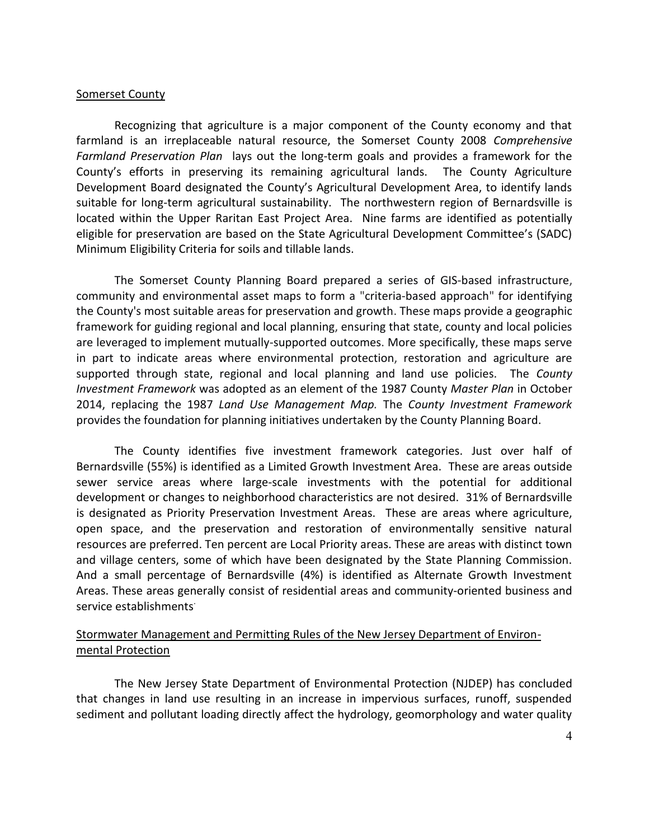#### Somerset County

Recognizing that agriculture is a major component of the County economy and that farmland is an irreplaceable natural resource, the Somerset County 2008 *Comprehensive Farmland Preservation Plan* lays out the long-term goals and provides a framework for the County's efforts in preserving its remaining agricultural lands. The County Agriculture Development Board designated the County's Agricultural Development Area, to identify lands suitable for long-term agricultural sustainability. The northwestern region of Bernardsville is located within the Upper Raritan East Project Area. Nine farms are identified as potentially eligible for preservation are based on the State Agricultural Development Committee's (SADC) Minimum Eligibility Criteria for soils and tillable lands.

The Somerset County Planning Board prepared a series of GIS-based infrastructure, community and environmental asset maps to form a "criteria-based approach" for identifying the County's most suitable areas for preservation and growth. These maps provide a geographic framework for guiding regional and local planning, ensuring that state, county and local policies are leveraged to implement mutually-supported outcomes. More specifically, these maps serve in part to indicate areas where environmental protection, restoration and agriculture are supported through state, regional and local planning and land use policies. The *County Investment Framework* was adopted as an element of the 1987 County *Master Plan* in October 2014, replacing the 1987 *Land Use Management Map.* The *County Investment Framework*  provides the foundation for planning initiatives undertaken by the County Planning Board.

The County identifies five investment framework categories. Just over half of Bernardsville (55%) is identified as a Limited Growth Investment Area. These are areas outside sewer service areas where large-scale investments with the potential for additional development or changes to neighborhood characteristics are not desired. 31% of Bernardsville is designated as Priority Preservation Investment Areas. These are areas where agriculture, open space, and the preservation and restoration of environmentally sensitive natural resources are preferred. Ten percent are Local Priority areas. These are areas with distinct town and village centers, some of which have been designated by the State Planning Commission. And a small percentage of Bernardsville (4%) is identified as Alternate Growth Investment Areas. These areas generally consist of residential areas and community-oriented business and service establishments<sup>.</sup>

## Stormwater Management and Permitting Rules of the New Jersey Department of Environmental Protection

The New Jersey State Department of Environmental Protection (NJDEP) has concluded that changes in land use resulting in an increase in impervious surfaces, runoff, suspended sediment and pollutant loading directly affect the hydrology, geomorphology and water quality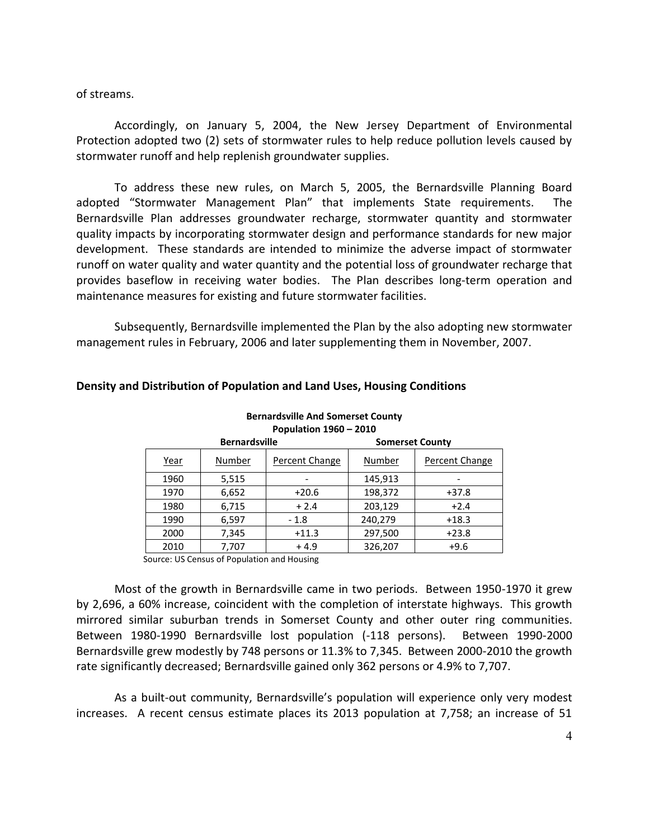of streams.

Accordingly, on January 5, 2004, the New Jersey Department of Environmental Protection adopted two (2) sets of stormwater rules to help reduce pollution levels caused by stormwater runoff and help replenish groundwater supplies.

To address these new rules, on March 5, 2005, the Bernardsville Planning Board adopted "Stormwater Management Plan" that implements State requirements. The Bernardsville Plan addresses groundwater recharge, stormwater quantity and stormwater quality impacts by incorporating stormwater design and performance standards for new major development. These standards are intended to minimize the adverse impact of stormwater runoff on water quality and water quantity and the potential loss of groundwater recharge that provides baseflow in receiving water bodies. The Plan describes long-term operation and maintenance measures for existing and future stormwater facilities.

Subsequently, Bernardsville implemented the Plan by the also adopting new stormwater management rules in February, 2006 and later supplementing them in November, 2007.

> **Bernardsville And Somerset County Population 1960 – 2010**

|             | <b>Bernardsville</b> |                | <b>Somerset County</b> |                |
|-------------|----------------------|----------------|------------------------|----------------|
| <u>Year</u> | Number               | Percent Change | Number                 | Percent Change |
| 1960        | 5,515                |                | 145,913                |                |
| 1970        | 6,652                | $+20.6$        | 198,372                | $+37.8$        |
| 1980        | 6,715                | $+2.4$         | 203,129                | $+2.4$         |
| 1990        | 6,597                | $-1.8$         | 240,279                | $+18.3$        |
| 2000        | 7,345                | $+11.3$        | 297,500                | $+23.8$        |
| 2010        | 7,707                | $+4.9$         | 326,207                | $+9.6$         |

#### **Density and Distribution of Population and Land Uses, Housing Conditions**

Source: US Census of Population and Housing

Most of the growth in Bernardsville came in two periods. Between 1950-1970 it grew by 2,696, a 60% increase, coincident with the completion of interstate highways. This growth mirrored similar suburban trends in Somerset County and other outer ring communities. Between 1980-1990 Bernardsville lost population (-118 persons). Between 1990-2000 Bernardsville grew modestly by 748 persons or 11.3% to 7,345. Between 2000-2010 the growth rate significantly decreased; Bernardsville gained only 362 persons or 4.9% to 7,707.

As a built-out community, Bernardsville's population will experience only very modest increases. A recent census estimate places its 2013 population at 7,758; an increase of 51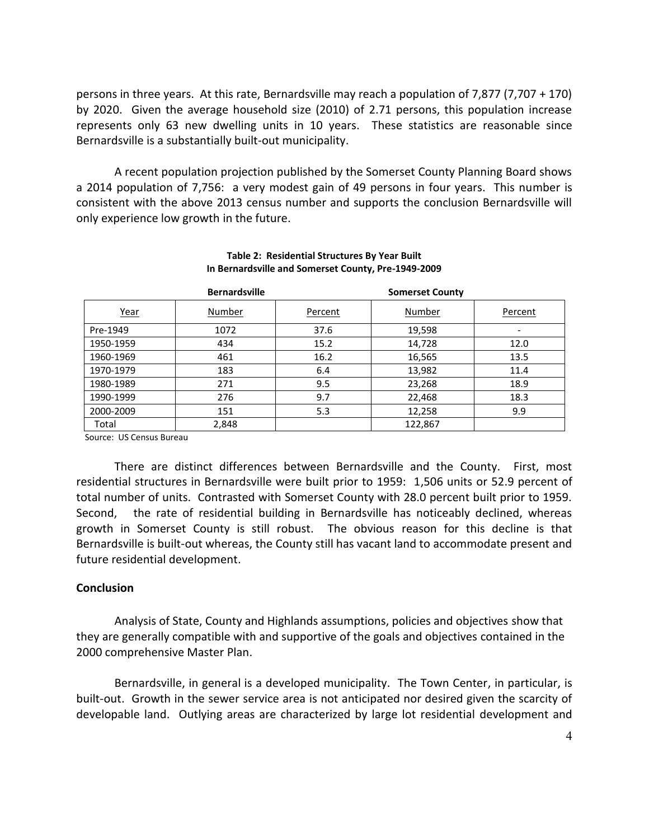persons in three years. At this rate, Bernardsville may reach a population of 7,877 (7,707 + 170) by 2020. Given the average household size (2010) of 2.71 persons, this population increase represents only 63 new dwelling units in 10 years. These statistics are reasonable since Bernardsville is a substantially built-out municipality.

A recent population projection published by the Somerset County Planning Board shows a 2014 population of 7,756: a very modest gain of 49 persons in four years. This number is consistent with the above 2013 census number and supports the conclusion Bernardsville will only experience low growth in the future.

|           | <b>Bernardsville</b> |         | <b>Somerset County</b> |         |
|-----------|----------------------|---------|------------------------|---------|
| Year      | Number               | Percent | Number                 | Percent |
| Pre-1949  | 1072                 | 37.6    | 19,598                 |         |
| 1950-1959 | 434                  | 15.2    | 14,728                 | 12.0    |
| 1960-1969 | 461                  | 16.2    | 16,565                 | 13.5    |
| 1970-1979 | 183                  | 6.4     | 13,982                 | 11.4    |
| 1980-1989 | 271                  | 9.5     | 23,268                 | 18.9    |
| 1990-1999 | 276                  | 9.7     | 22,468                 | 18.3    |
| 2000-2009 | 151                  | 5.3     | 12,258                 | 9.9     |
| Total     | 2,848                |         | 122,867                |         |

#### **Table 2: Residential Structures By Year Built In Bernardsville and Somerset County, Pre-1949-2009**

Source: US Census Bureau

There are distinct differences between Bernardsville and the County. First, most residential structures in Bernardsville were built prior to 1959: 1,506 units or 52.9 percent of total number of units. Contrasted with Somerset County with 28.0 percent built prior to 1959. Second, the rate of residential building in Bernardsville has noticeably declined, whereas growth in Somerset County is still robust. The obvious reason for this decline is that Bernardsville is built-out whereas, the County still has vacant land to accommodate present and future residential development.

#### **Conclusion**

Analysis of State, County and Highlands assumptions, policies and objectives show that they are generally compatible with and supportive of the goals and objectives contained in the 2000 comprehensive Master Plan.

Bernardsville, in general is a developed municipality. The Town Center, in particular, is built-out. Growth in the sewer service area is not anticipated nor desired given the scarcity of developable land. Outlying areas are characterized by large lot residential development and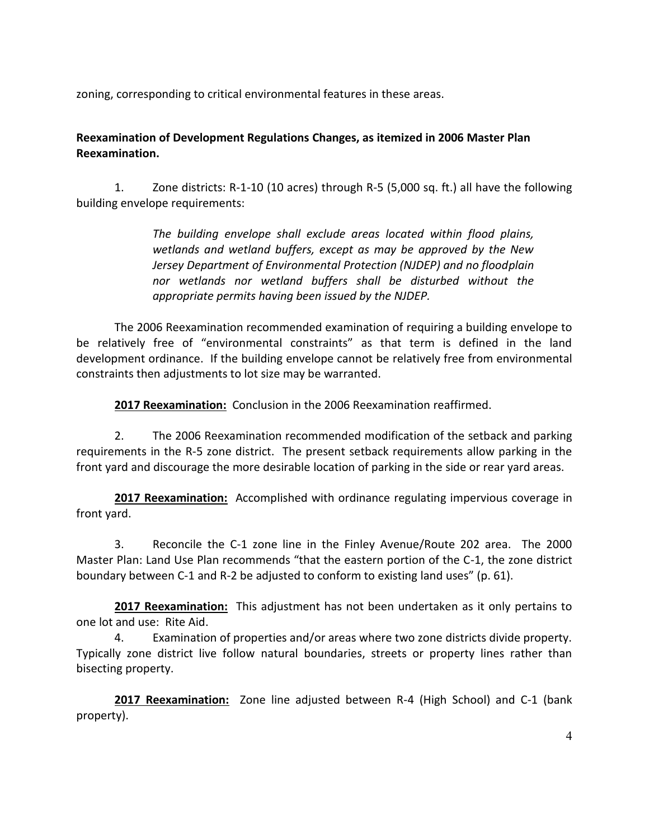zoning, corresponding to critical environmental features in these areas.

# **Reexamination of Development Regulations Changes, as itemized in 2006 Master Plan Reexamination.**

1. Zone districts: R-1-10 (10 acres) through R-5 (5,000 sq. ft.) all have the following building envelope requirements:

> *The building envelope shall exclude areas located within flood plains, wetlands and wetland buffers, except as may be approved by the New Jersey Department of Environmental Protection (NJDEP) and no floodplain nor wetlands nor wetland buffers shall be disturbed without the appropriate permits having been issued by the NJDEP.*

The 2006 Reexamination recommended examination of requiring a building envelope to be relatively free of "environmental constraints" as that term is defined in the land development ordinance. If the building envelope cannot be relatively free from environmental constraints then adjustments to lot size may be warranted.

**2017 Reexamination:** Conclusion in the 2006 Reexamination reaffirmed.

2. The 2006 Reexamination recommended modification of the setback and parking requirements in the R-5 zone district. The present setback requirements allow parking in the front yard and discourage the more desirable location of parking in the side or rear yard areas.

**2017 Reexamination:** Accomplished with ordinance regulating impervious coverage in front yard.

3. Reconcile the C-1 zone line in the Finley Avenue/Route 202 area. The 2000 Master Plan: Land Use Plan recommends "that the eastern portion of the C-1, the zone district boundary between C-1 and R-2 be adjusted to conform to existing land uses" (p. 61).

**2017 Reexamination:** This adjustment has not been undertaken as it only pertains to one lot and use: Rite Aid.

4. Examination of properties and/or areas where two zone districts divide property. Typically zone district live follow natural boundaries, streets or property lines rather than bisecting property.

**2017 Reexamination:** Zone line adjusted between R-4 (High School) and C-1 (bank property).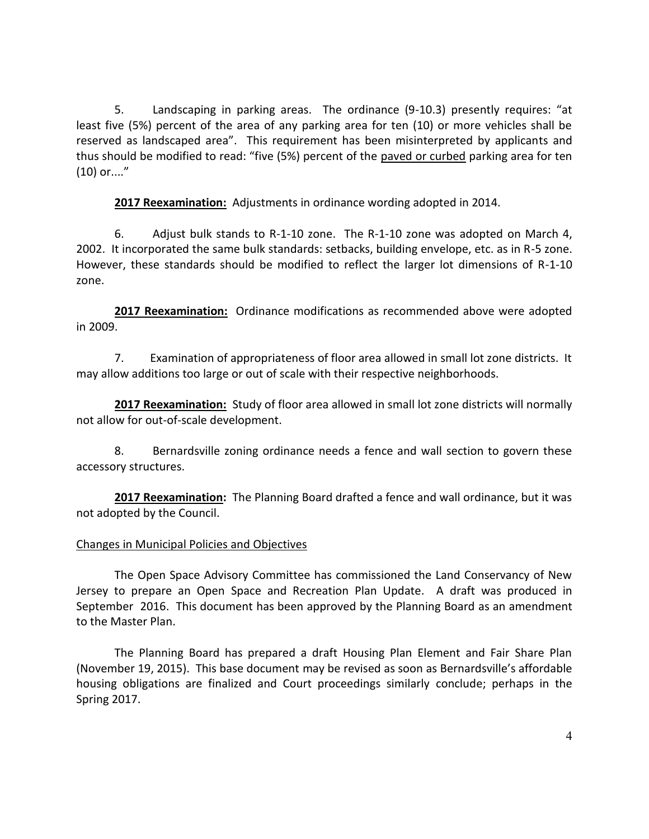5. Landscaping in parking areas. The ordinance (9-10.3) presently requires: "at least five (5%) percent of the area of any parking area for ten (10) or more vehicles shall be reserved as landscaped area". This requirement has been misinterpreted by applicants and thus should be modified to read: "five (5%) percent of the paved or curbed parking area for ten (10) or...."

**2017 Reexamination:** Adjustments in ordinance wording adopted in 2014.

6. Adjust bulk stands to R-1-10 zone. The R-1-10 zone was adopted on March 4, 2002. It incorporated the same bulk standards: setbacks, building envelope, etc. as in R-5 zone. However, these standards should be modified to reflect the larger lot dimensions of R-1-10 zone.

**2017 Reexamination:** Ordinance modifications as recommended above were adopted in 2009.

7. Examination of appropriateness of floor area allowed in small lot zone districts. It may allow additions too large or out of scale with their respective neighborhoods.

**2017 Reexamination:** Study of floor area allowed in small lot zone districts will normally not allow for out-of-scale development.

8. Bernardsville zoning ordinance needs a fence and wall section to govern these accessory structures.

**2017 Reexamination:** The Planning Board drafted a fence and wall ordinance, but it was not adopted by the Council.

## Changes in Municipal Policies and Objectives

The Open Space Advisory Committee has commissioned the Land Conservancy of New Jersey to prepare an Open Space and Recreation Plan Update. A draft was produced in September 2016. This document has been approved by the Planning Board as an amendment to the Master Plan.

The Planning Board has prepared a draft Housing Plan Element and Fair Share Plan (November 19, 2015). This base document may be revised as soon as Bernardsville's affordable housing obligations are finalized and Court proceedings similarly conclude; perhaps in the Spring 2017.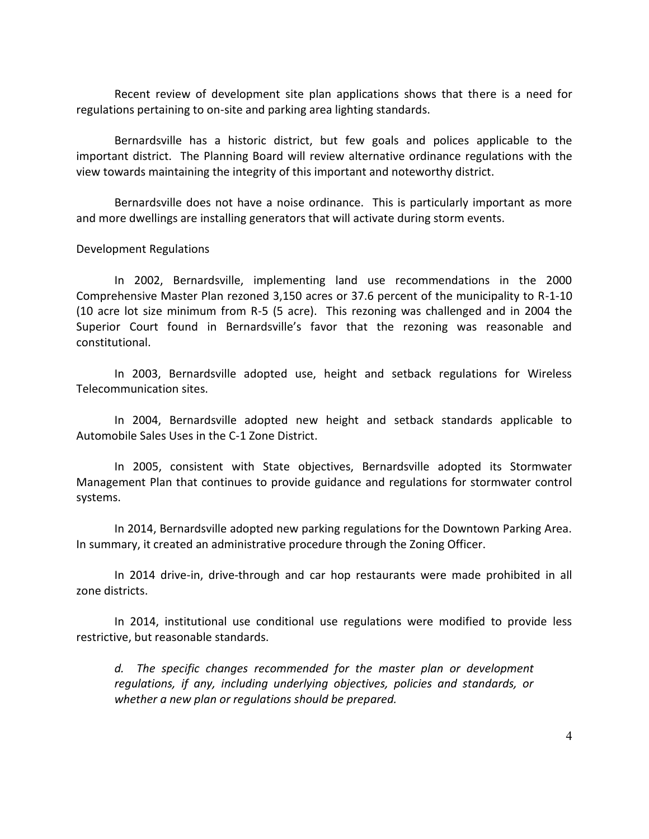Recent review of development site plan applications shows that there is a need for regulations pertaining to on-site and parking area lighting standards.

Bernardsville has a historic district, but few goals and polices applicable to the important district. The Planning Board will review alternative ordinance regulations with the view towards maintaining the integrity of this important and noteworthy district.

Bernardsville does not have a noise ordinance. This is particularly important as more and more dwellings are installing generators that will activate during storm events.

Development Regulations

In 2002, Bernardsville, implementing land use recommendations in the 2000 Comprehensive Master Plan rezoned 3,150 acres or 37.6 percent of the municipality to R-1-10 (10 acre lot size minimum from R-5 (5 acre). This rezoning was challenged and in 2004 the Superior Court found in Bernardsville's favor that the rezoning was reasonable and constitutional.

In 2003, Bernardsville adopted use, height and setback regulations for Wireless Telecommunication sites.

In 2004, Bernardsville adopted new height and setback standards applicable to Automobile Sales Uses in the C-1 Zone District.

In 2005, consistent with State objectives, Bernardsville adopted its Stormwater Management Plan that continues to provide guidance and regulations for stormwater control systems.

In 2014, Bernardsville adopted new parking regulations for the Downtown Parking Area. In summary, it created an administrative procedure through the Zoning Officer.

In 2014 drive-in, drive-through and car hop restaurants were made prohibited in all zone districts.

In 2014, institutional use conditional use regulations were modified to provide less restrictive, but reasonable standards.

*d. The specific changes recommended for the master plan or development regulations, if any, including underlying objectives, policies and standards, or whether a new plan or regulations should be prepared.*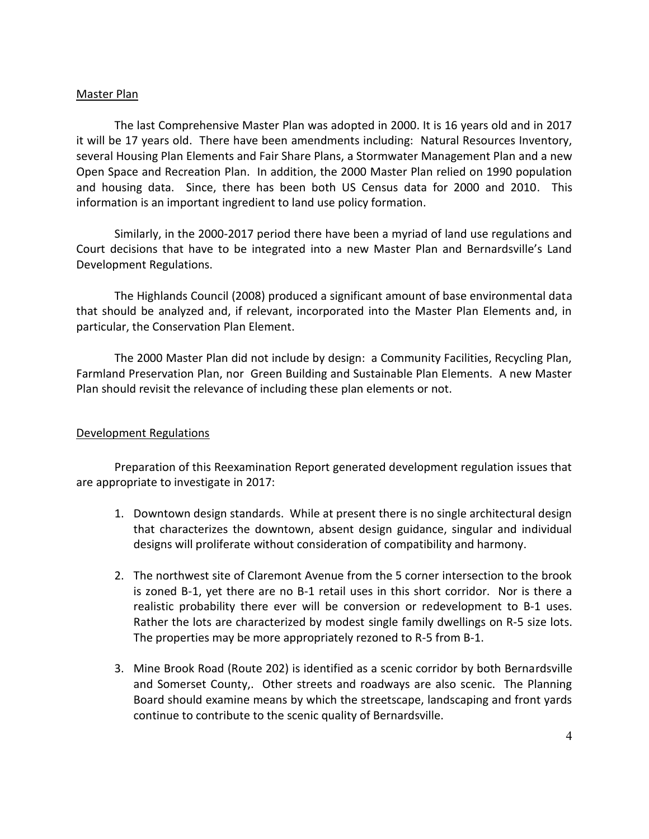#### Master Plan

The last Comprehensive Master Plan was adopted in 2000. It is 16 years old and in 2017 it will be 17 years old. There have been amendments including: Natural Resources Inventory, several Housing Plan Elements and Fair Share Plans, a Stormwater Management Plan and a new Open Space and Recreation Plan. In addition, the 2000 Master Plan relied on 1990 population and housing data. Since, there has been both US Census data for 2000 and 2010. This information is an important ingredient to land use policy formation.

Similarly, in the 2000-2017 period there have been a myriad of land use regulations and Court decisions that have to be integrated into a new Master Plan and Bernardsville's Land Development Regulations.

The Highlands Council (2008) produced a significant amount of base environmental data that should be analyzed and, if relevant, incorporated into the Master Plan Elements and, in particular, the Conservation Plan Element.

The 2000 Master Plan did not include by design: a Community Facilities, Recycling Plan, Farmland Preservation Plan, nor Green Building and Sustainable Plan Elements. A new Master Plan should revisit the relevance of including these plan elements or not.

## Development Regulations

Preparation of this Reexamination Report generated development regulation issues that are appropriate to investigate in 2017:

- 1. Downtown design standards. While at present there is no single architectural design that characterizes the downtown, absent design guidance, singular and individual designs will proliferate without consideration of compatibility and harmony.
- 2. The northwest site of Claremont Avenue from the 5 corner intersection to the brook is zoned B-1, yet there are no B-1 retail uses in this short corridor. Nor is there a realistic probability there ever will be conversion or redevelopment to B-1 uses. Rather the lots are characterized by modest single family dwellings on R-5 size lots. The properties may be more appropriately rezoned to R-5 from B-1.
- 3. Mine Brook Road (Route 202) is identified as a scenic corridor by both Bernardsville and Somerset County,. Other streets and roadways are also scenic. The Planning Board should examine means by which the streetscape, landscaping and front yards continue to contribute to the scenic quality of Bernardsville.